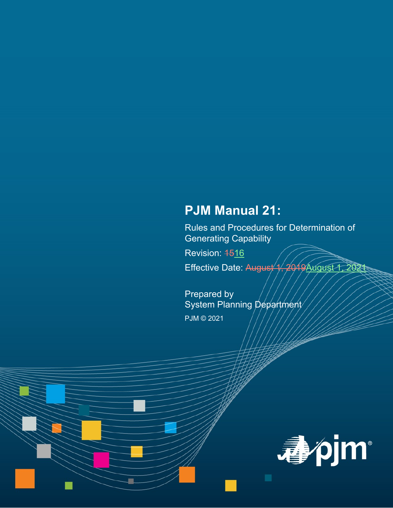# **PJM Manual 21:**

Rules and Procedures for Determination of Generating Capability

Revision: 4516

Effective Date: August 1, 2019 August 1, 2021

Prepared by System Planning Department PJM © 2021

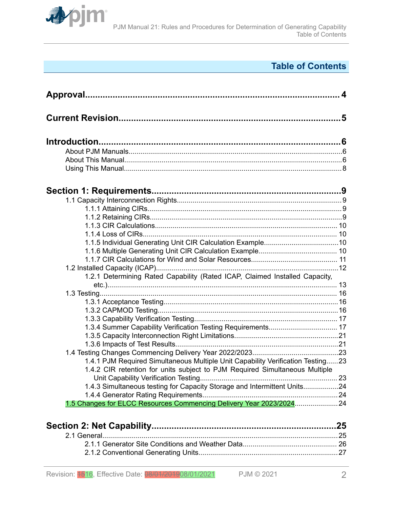

# **Table of Contents**

| 1.2.1 Determining Rated Capability (Rated ICAP, Claimed Installed Capacity,     |     |
|---------------------------------------------------------------------------------|-----|
|                                                                                 |     |
|                                                                                 |     |
|                                                                                 |     |
|                                                                                 |     |
|                                                                                 |     |
|                                                                                 |     |
|                                                                                 |     |
|                                                                                 |     |
| 1.4.1 PJM Required Simultaneous Multiple Unit Capability Verification Testing23 |     |
| 1.4.2 CIR retention for units subject to PJM Required Simultaneous Multiple     |     |
|                                                                                 |     |
| 1.4.3 Simultaneous testing for Capacity Storage and Intermittent Units24        |     |
|                                                                                 |     |
| 1.5 Changes for ELCC Resources Commencing Delivery Year 2023/2024 24            |     |
|                                                                                 |     |
|                                                                                 |     |
|                                                                                 | .25 |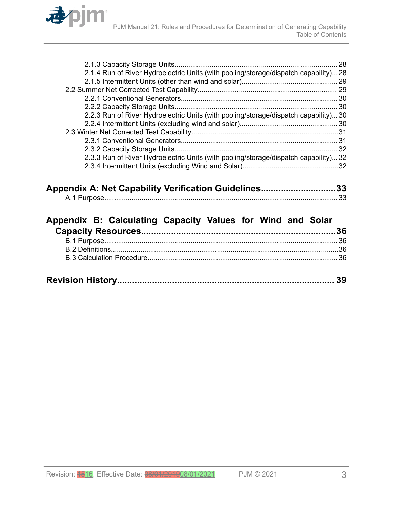

| 2.1.4 Run of River Hydroelectric Units (with pooling/storage/dispatch capability)28 |  |
|-------------------------------------------------------------------------------------|--|
|                                                                                     |  |
|                                                                                     |  |
|                                                                                     |  |
|                                                                                     |  |
| 2.2.3 Run of River Hydroelectric Units (with pooling/storage/dispatch capability)30 |  |
|                                                                                     |  |
|                                                                                     |  |
|                                                                                     |  |
|                                                                                     |  |
| 2.3.3 Run of River Hydroelectric Units (with pooling/storage/dispatch capability)32 |  |
|                                                                                     |  |
|                                                                                     |  |

| Appendix A: Net Capability Verification Guidelines33 |  |
|------------------------------------------------------|--|
|                                                      |  |

| Appendix B: Calculating Capacity Values for Wind and Solar |  |  |  |  |
|------------------------------------------------------------|--|--|--|--|
|                                                            |  |  |  |  |
|                                                            |  |  |  |  |
|                                                            |  |  |  |  |
|                                                            |  |  |  |  |
|                                                            |  |  |  |  |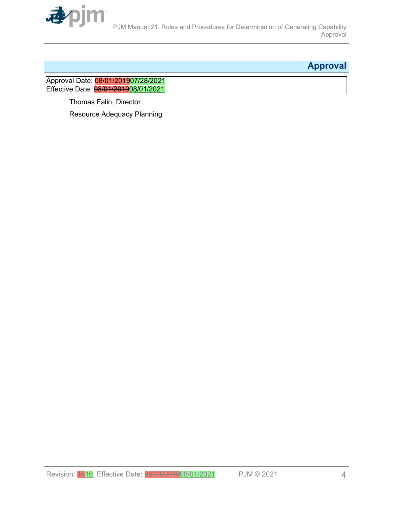<span id="page-3-0"></span>

# **Approval**

Approval Date: <mark>08/01/2019</mark>07/28/2021 Effective Date: 08/01/201908/01/2021

> Thomas Falin, Director Resource Adequacy Planning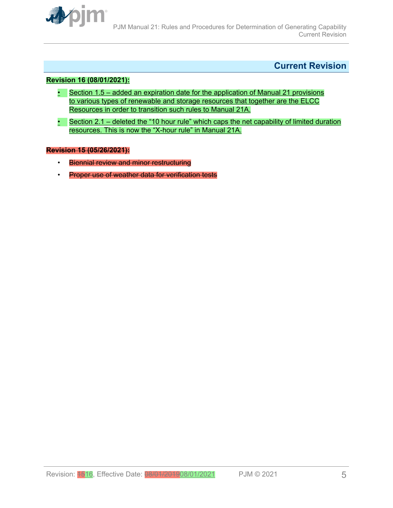<span id="page-4-0"></span>

## **Current Revision**

#### **Revision 16 (08/01/2021):**

- Section 1.5 added an expiration date for the application of Manual 21 provisions to various types of renewable and storage resources that together are the ELCC Resources in order to transition such rules to Manual 21A.
- Section 2.1 deleted the "10 hour rule" which caps the net capability of limited duration resources. This is now the "X-hour rule" in Manual 21A.

#### **Revision 15 (05/26/2021):**

- Biennial review and minor restructuring
- Proper use of weather data for verification tests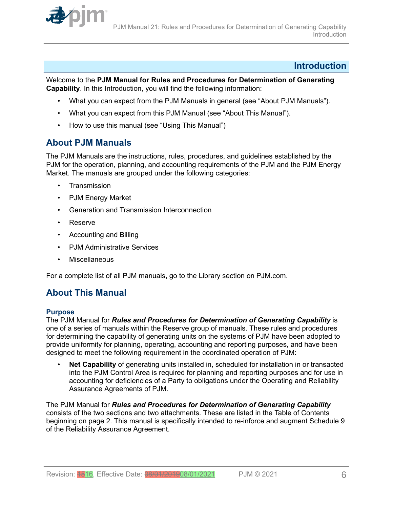<span id="page-5-0"></span>

### **Introduction**

Welcome to the **PJM Manual for Rules and Procedures for Determination of Generating Capability**. In this Introduction, you will find the following information:

- What you can expect from the PJM Manuals in general (see "About PJM Manuals").
- What you can expect from this PJM Manual (see "About This Manual").
- How to use this manual (see "Using This Manual")

## **About PJM Manuals**

The PJM Manuals are the instructions, rules, procedures, and guidelines established by the PJM for the operation, planning, and accounting requirements of the PJM and the PJM Energy Market. The manuals are grouped under the following categories:

- **Transmission**
- PJM Energy Market
- Generation and Transmission Interconnection
- Reserve
- Accounting and Billing
- PJM Administrative Services
- **Miscellaneous**

For a complete list of all PJM manuals, go to the Library section on PJM.com.

# **About This Manual**

#### **Purpose**

The PJM Manual for *Rules and Procedures for Determination of Generating Capability* is one of a series of manuals within the Reserve group of manuals. These rules and procedures for determining the capability of generating units on the systems of PJM have been adopted to provide uniformity for planning, operating, accounting and reporting purposes, and have been designed to meet the following requirement in the coordinated operation of PJM:

• **Net Capability** of generating units installed in, scheduled for installation in or transacted into the PJM Control Area is required for planning and reporting purposes and for use in accounting for deficiencies of a Party to obligations under the Operating and Reliability Assurance Agreements of PJM.

The PJM Manual for *Rules and Procedures for Determination of Generating Capability* consists of the two sections and two attachments. These are listed in the Table of Contents beginning on page 2. This manual is specifically intended to re-inforce and augment Schedule 9 of the Reliability Assurance Agreement.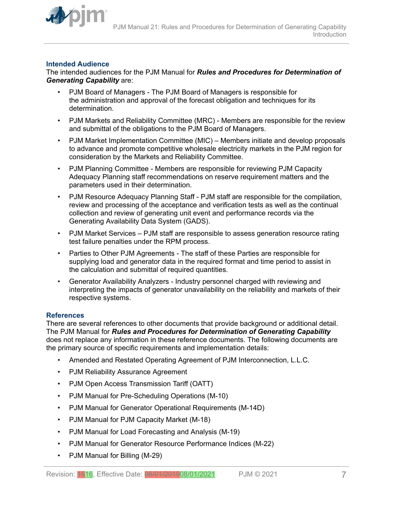

#### **Intended Audience**

The intended audiences for the PJM Manual for *Rules and Procedures for Determination of Generating Capability* are:

- PJM Board of Managers The PJM Board of Managers is responsible for the administration and approval of the forecast obligation and techniques for its determination.
- PJM Markets and Reliability Committee (MRC) Members are responsible for the review and submittal of the obligations to the PJM Board of Managers.
- PJM Market Implementation Committee (MIC) Members initiate and develop proposals to advance and promote competitive wholesale electricity markets in the PJM region for consideration by the Markets and Reliability Committee.
- PJM Planning Committee Members are responsible for reviewing PJM Capacity Adequacy Planning staff recommendations on reserve requirement matters and the parameters used in their determination.
- PJM Resource Adequacy Planning Staff PJM staff are responsible for the compilation, review and processing of the acceptance and verification tests as well as the continual collection and review of generating unit event and performance records via the Generating Availability Data System (GADS).
- PJM Market Services PJM staff are responsible to assess generation resource rating test failure penalties under the RPM process.
- Parties to Other PJM Agreements The staff of these Parties are responsible for supplying load and generator data in the required format and time period to assist in the calculation and submittal of required quantities.
- Generator Availability Analyzers Industry personnel charged with reviewing and interpreting the impacts of generator unavailability on the reliability and markets of their respective systems.

#### **References**

There are several references to other documents that provide background or additional detail. The PJM Manual for *Rules and Procedures for Determination of Generating Capability* does not replace any information in these reference documents. The following documents are the primary source of specific requirements and implementation details:

- Amended and Restated Operating Agreement of PJM Interconnection, L.L.C.
- PJM Reliability Assurance Agreement
- PJM Open Access Transmission Tariff (OATT)
- PJM Manual for Pre-Scheduling Operations (M-10)
- PJM Manual for Generator Operational Requirements (M-14D)
- PJM Manual for PJM Capacity Market (M-18)
- PJM Manual for Load Forecasting and Analysis (M-19)
- PJM Manual for Generator Resource Performance Indices (M-22)
- PJM Manual for Billing (M-29)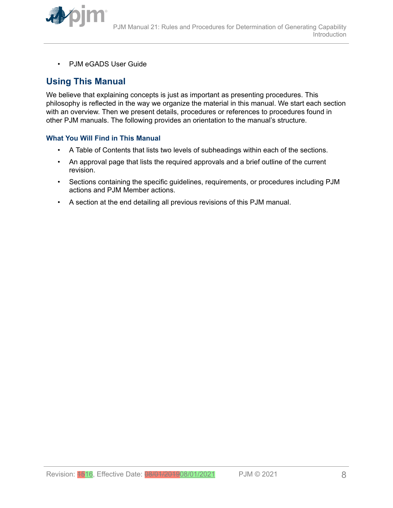<span id="page-7-0"></span>

• PJM eGADS User Guide

# **Using This Manual**

We believe that explaining concepts is just as important as presenting procedures. This philosophy is reflected in the way we organize the material in this manual. We start each section with an overview. Then we present details, procedures or references to procedures found in other PJM manuals. The following provides an orientation to the manual's structure.

#### **What You Will Find in This Manual**

- A Table of Contents that lists two levels of subheadings within each of the sections.
- An approval page that lists the required approvals and a brief outline of the current revision.
- Sections containing the specific guidelines, requirements, or procedures including PJM actions and PJM Member actions.
- A section at the end detailing all previous revisions of this PJM manual.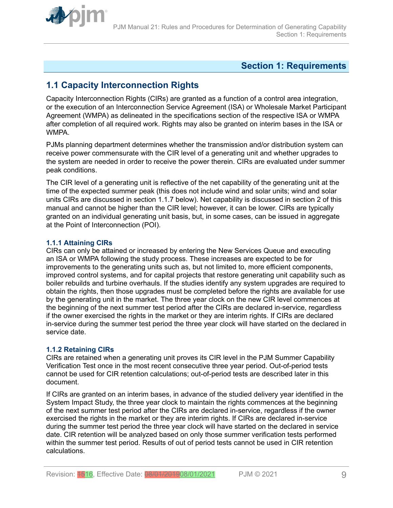<span id="page-8-0"></span>

## **Section 1: Requirements**

# **1.1 Capacity Interconnection Rights**

Capacity Interconnection Rights (CIRs) are granted as a function of a control area integration, or the execution of an Interconnection Service Agreement (ISA) or Wholesale Market Participant Agreement (WMPA) as delineated in the specifications section of the respective ISA or WMPA after completion of all required work. Rights may also be granted on interim bases in the ISA or **WMPA** 

PJMs planning department determines whether the transmission and/or distribution system can receive power commensurate with the CIR level of a generating unit and whether upgrades to the system are needed in order to receive the power therein. CIRs are evaluated under summer peak conditions.

The CIR level of a generating unit is reflective of the net capability of the generating unit at the time of the expected summer peak (this does not include wind and solar units; wind and solar units CIRs are discussed in section 1.1.7 below). Net capability is discussed in section 2 of this manual and cannot be higher than the CIR level; however, it can be lower. CIRs are typically granted on an individual generating unit basis, but, in some cases, can be issued in aggregate at the Point of Interconnection (POI).

#### **1.1.1 Attaining CIRs**

CIRs can only be attained or increased by entering the New Services Queue and executing an ISA or WMPA following the study process. These increases are expected to be for improvements to the generating units such as, but not limited to, more efficient components, improved control systems, and for capital projects that restore generating unit capability such as boiler rebuilds and turbine overhauls. If the studies identify any system upgrades are required to obtain the rights, then those upgrades must be completed before the rights are available for use by the generating unit in the market. The three year clock on the new CIR level commences at the beginning of the next summer test period after the CIRs are declared in-service, regardless if the owner exercised the rights in the market or they are interim rights. If CIRs are declared in-service during the summer test period the three year clock will have started on the declared in service date.

### **1.1.2 Retaining CIRs**

CIRs are retained when a generating unit proves its CIR level in the PJM Summer Capability Verification Test once in the most recent consecutive three year period. Out-of-period tests cannot be used for CIR retention calculations; out-of-period tests are described later in this document.

If CIRs are granted on an interim bases, in advance of the studied delivery year identified in the System Impact Study, the three year clock to maintain the rights commences at the beginning of the next summer test period after the CIRs are declared in-service, regardless if the owner exercised the rights in the market or they are interim rights. If CIRs are declared in-service during the summer test period the three year clock will have started on the declared in service date. CIR retention will be analyzed based on only those summer verification tests performed within the summer test period. Results of out of period tests cannot be used in CIR retention calculations.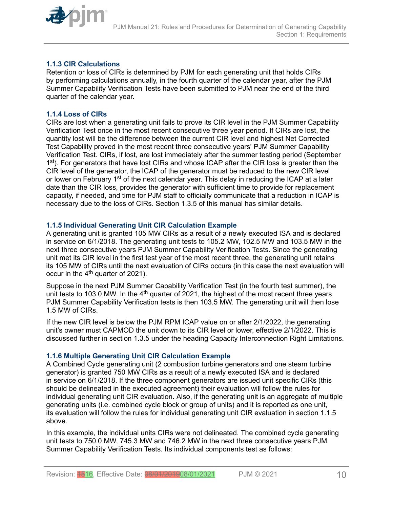<span id="page-9-0"></span>

#### **1.1.3 CIR Calculations**

Retention or loss of CIRs is determined by PJM for each generating unit that holds CIRs by performing calculations annually, in the fourth quarter of the calendar year, after the PJM Summer Capability Verification Tests have been submitted to PJM near the end of the third quarter of the calendar year.

#### **1.1.4 Loss of CIRs**

CIRs are lost when a generating unit fails to prove its CIR level in the PJM Summer Capability Verification Test once in the most recent consecutive three year period. If CIRs are lost, the quantity lost will be the difference between the current CIR level and highest Net Corrected Test Capability proved in the most recent three consecutive years' PJM Summer Capability Verification Test. CIRs, if lost, are lost immediately after the summer testing period (September 1<sup>st</sup>). For generators that have lost CIRs and whose ICAP after the CIR loss is greater than the CIR level of the generator, the ICAP of the generator must be reduced to the new CIR level or lower on February 1<sup>st</sup> of the next calendar year. This delay in reducing the ICAP at a later date than the CIR loss, provides the generator with sufficient time to provide for replacement capacity, if needed, and time for PJM staff to officially communicate that a reduction in ICAP is necessary due to the loss of CIRs. Section 1.3.5 of this manual has similar details.

#### **1.1.5 Individual Generating Unit CIR Calculation Example**

A generating unit is granted 105 MW CIRs as a result of a newly executed ISA and is declared in service on 6/1/2018. The generating unit tests to 105.2 MW, 102.5 MW and 103.5 MW in the next three consecutive years PJM Summer Capability Verification Tests. Since the generating unit met its CIR level in the first test year of the most recent three, the generating unit retains its 105 MW of CIRs until the next evaluation of CIRs occurs (in this case the next evaluation will occur in the  $4<sup>th</sup>$  quarter of 2021).

Suppose in the next PJM Summer Capability Verification Test (in the fourth test summer), the unit tests to 103.0 MW. In the  $4<sup>th</sup>$  quarter of 2021, the highest of the most recent three years PJM Summer Capability Verification tests is then 103.5 MW. The generating unit will then lose 1.5 MW of CIRs.

If the new CIR level is below the PJM RPM ICAP value on or after 2/1/2022, the generating unit's owner must CAPMOD the unit down to its CIR level or lower, effective 2/1/2022. This is discussed further in section 1.3.5 under the heading Capacity Interconnection Right Limitations.

#### **1.1.6 Multiple Generating Unit CIR Calculation Example**

A Combined Cycle generating unit (2 combustion turbine generators and one steam turbine generator) is granted 750 MW CIRs as a result of a newly executed ISA and is declared in service on 6/1/2018. If the three component generators are issued unit specific CIRs (this should be delineated in the executed agreement) their evaluation will follow the rules for individual generating unit CIR evaluation. Also, if the generating unit is an aggregate of multiple generating units (i.e. combined cycle block or group of units) and it is reported as one unit, its evaluation will follow the rules for individual generating unit CIR evaluation in section 1.1.5 above.

In this example, the individual units CIRs were not delineated. The combined cycle generating unit tests to 750.0 MW, 745.3 MW and 746.2 MW in the next three consecutive years PJM Summer Capability Verification Tests. Its individual components test as follows: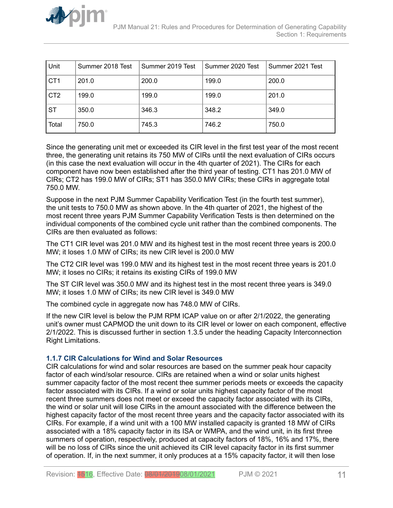<span id="page-10-0"></span>

| Unit            | Summer 2018 Test | Summer 2019 Test | Summer 2020 Test | Summer 2021 Test |
|-----------------|------------------|------------------|------------------|------------------|
| CT <sub>1</sub> | 201.0            | 200.0            | 199.0            | 200.0            |
| CT <sub>2</sub> | 199.0            | 199.0            | 199.0            | 201.0            |
| <b>ST</b>       | 350.0            | 346.3            | 348.2            | 349.0            |
| Total           | 750.0            | 745.3            | 746.2            | 750.0            |

Since the generating unit met or exceeded its CIR level in the first test year of the most recent three, the generating unit retains its 750 MW of CIRs until the next evaluation of CIRs occurs (in this case the next evaluation will occur in the 4th quarter of 2021). The CIRs for each component have now been established after the third year of testing. CT1 has 201.0 MW of CIRs; CT2 has 199.0 MW of CIRs; ST1 has 350.0 MW CIRs; these CIRs in aggregate total 750.0 MW.

Suppose in the next PJM Summer Capability Verification Test (in the fourth test summer), the unit tests to 750.0 MW as shown above. In the 4th quarter of 2021, the highest of the most recent three years PJM Summer Capability Verification Tests is then determined on the individual components of the combined cycle unit rather than the combined components. The CIRs are then evaluated as follows:

The CT1 CIR level was 201.0 MW and its highest test in the most recent three years is 200.0 MW; it loses 1.0 MW of CIRs; its new CIR level is 200.0 MW

The CT2 CIR level was 199.0 MW and its highest test in the most recent three years is 201.0 MW; it loses no CIRs; it retains its existing CIRs of 199.0 MW

The ST CIR level was 350.0 MW and its highest test in the most recent three years is 349.0 MW; it loses 1.0 MW of CIRs; its new CIR level is 349.0 MW

The combined cycle in aggregate now has 748.0 MW of CIRs.

If the new CIR level is below the PJM RPM ICAP value on or after 2/1/2022, the generating unit's owner must CAPMOD the unit down to its CIR level or lower on each component, effective 2/1/2022. This is discussed further in section 1.3.5 under the heading Capacity Interconnection Right Limitations.

### **1.1.7 CIR Calculations for Wind and Solar Resources**

CIR calculations for wind and solar resources are based on the summer peak hour capacity factor of each wind/solar resource. CIRs are retained when a wind or solar units highest summer capacity factor of the most recent thee summer periods meets or exceeds the capacity factor associated with its CIRs. If a wind or solar units highest capacity factor of the most recent three summers does not meet or exceed the capacity factor associated with its CIRs, the wind or solar unit will lose CIRs in the amount associated with the difference between the highest capacity factor of the most recent three years and the capacity factor associated with its CIRs. For example, if a wind unit with a 100 MW installed capacity is granted 18 MW of CIRs associated with a 18% capacity factor in its ISA or WMPA, and the wind unit, in its first three summers of operation, respectively, produced at capacity factors of 18%, 16% and 17%, there will be no loss of CIRs since the unit achieved its CIR level capacity factor in its first summer of operation. If, in the next summer, it only produces at a 15% capacity factor, it will then lose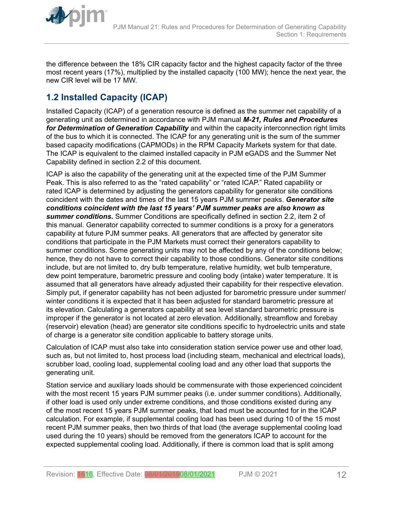<span id="page-11-0"></span>

the difference between the 18% CIR capacity factor and the highest capacity factor of the three most recent years (17%), multiplied by the installed capacity (100 MW); hence the next year, the new CIR level will be 17 MW.

# **1.2 Installed Capacity (ICAP)**

Installed Capacity (ICAP) of a generation resource is defined as the summer net capability of a generating unit as determined in accordance with PJM manual *M-21, Rules and Procedures for Determination of Generation Capability* and within the capacity interconnection right limits of the bus to which it is connected. The ICAP for any generating unit is the sum of the summer based capacity modifications (CAPMODs) in the RPM Capacity Markets system for that date. The ICAP is equivalent to the claimed installed capacity in PJM eGADS and the Summer Net Capability defined in section 2.2 of this document.

ICAP is also the capability of the generating unit at the expected time of the PJM Summer Peak. This is also referred to as the "rated capability" or "rated ICAP." Rated capability or rated ICAP is determined by adjusting the generators capability for generator site conditions coincident with the dates and times of the last 15 years PJM summer peaks. *Generator site conditions coincident with the last 15 years' PJM summer peaks are also known as summer conditions.* Summer Conditions are specifically defined in section 2.2, item 2 of this manual. Generator capability corrected to summer conditions is a proxy for a generators capability at future PJM summer peaks. All generators that are affected by generator site conditions that participate in the PJM Markets must correct their generators capability to summer conditions. Some generating units may not be affected by any of the conditions below; hence, they do not have to correct their capability to those conditions. Generator site conditions include, but are not limited to, dry bulb temperature, relative humidity, wet bulb temperature, dew point temperature, barometric pressure and cooling body (intake) water temperature. It is assumed that all generators have already adjusted their capability for their respective elevation. Simply put, if generator capability has not been adjusted for barometric pressure under summer/ winter conditions it is expected that it has been adjusted for standard barometric pressure at its elevation. Calculating a generators capability at sea level standard barometric pressure is improper if the generator is not located at zero elevation. Additionally, streamflow and forebay (reservoir) elevation (head) are generator site conditions specific to hydroelectric units and state of charge is a generator site condition applicable to battery storage units.

Calculation of ICAP must also take into consideration station service power use and other load, such as, but not limited to, host process load (including steam, mechanical and electrical loads), scrubber load, cooling load, supplemental cooling load and any other load that supports the generating unit.

Station service and auxiliary loads should be commensurate with those experienced coincident with the most recent 15 years PJM summer peaks (i.e. under summer conditions). Additionally, if other load is used only under extreme conditions, and those conditions existed during any of the most recent 15 years PJM summer peaks, that load must be accounted for in the ICAP calculation. For example, if supplemental cooling load has been used during 10 of the 15 most recent PJM summer peaks, then two thirds of that load (the average supplemental cooling load used during the 10 years) should be removed from the generators ICAP to account for the expected supplemental cooling load. Additionally, if there is common load that is split among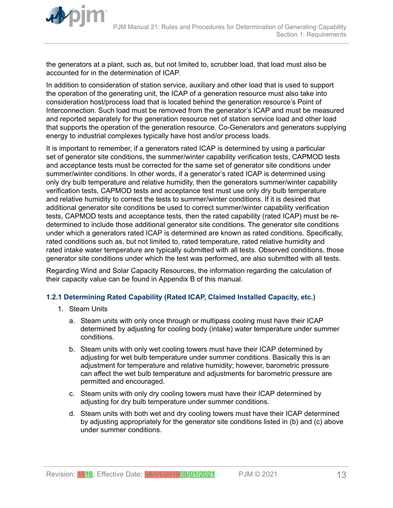

<span id="page-12-0"></span>

the generators at a plant, such as, but not limited to, scrubber load, that load must also be accounted for in the determination of ICAP.

In addition to consideration of station service, auxiliary and other load that is used to support the operation of the generating unit, the ICAP of a generation resource must also take into consideration host/process load that is located behind the generation resource's Point of Interconnection. Such load must be removed from the generator's ICAP and must be measured and reported separately for the generation resource net of station service load and other load that supports the operation of the generation resource. Co-Generators and generators supplying energy to industrial complexes typically have host and/or process loads.

It is important to remember, if a generators rated ICAP is determined by using a particular set of generator site conditions, the summer/winter capability verification tests, CAPMOD tests and acceptance tests must be corrected for the same set of generator site conditions under summer/winter conditions. In other words, if a generator's rated ICAP is determined using only dry bulb temperature and relative humidity, then the generators summer/winter capability verification tests, CAPMOD tests and acceptance test must use only dry bulb temperature and relative humidity to correct the tests to summer/winter conditions. If it is desired that additional generator site conditions be used to correct summer/winter capability verification tests, CAPMOD tests and acceptance tests, then the rated capability (rated ICAP) must be redetermined to include those additional generator site conditions. The generator site conditions under which a generators rated ICAP is determined are known as rated conditions. Specifically, rated conditions such as, but not limited to, rated temperature, rated relative humidity and rated intake water temperature are typically submitted with all tests. Observed conditions, those generator site conditions under which the test was performed, are also submitted with all tests.

Regarding Wind and Solar Capacity Resources, the information regarding the calculation of their capacity value can be found in Appendix B of this manual.

#### **1.2.1 Determining Rated Capability (Rated ICAP, Claimed Installed Capacity, etc.)**

- 1. Steam Units
	- a. Steam units with only once through or multipass cooling must have their ICAP determined by adjusting for cooling body (intake) water temperature under summer conditions.
	- b. Steam units with only wet cooling towers must have their ICAP determined by adjusting for wet bulb temperature under summer conditions. Basically this is an adjustment for temperature and relative humidity; however, barometric pressure can affect the wet bulb temperature and adjustments for barometric pressure are permitted and encouraged.
	- c. Steam units with only dry cooling towers must have their ICAP determined by adjusting for dry bulb temperature under summer conditions.
	- d. Steam units with both wet and dry cooling towers must have their ICAP determined by adjusting appropriately for the generator site conditions listed in (b) and (c) above under summer conditions.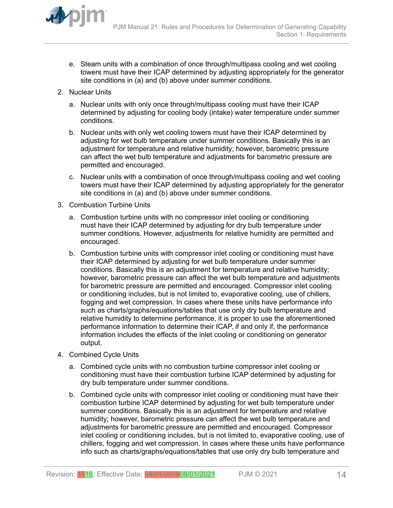

- e. Steam units with a combination of once through/multipass cooling and wet cooling towers must have their ICAP determined by adjusting appropriately for the generator site conditions in (a) and (b) above under summer conditions.
- 2. Nuclear Units
	- a. Nuclear units with only once through/multipass cooling must have their ICAP determined by adjusting for cooling body (intake) water temperature under summer conditions.
	- b. Nuclear units with only wet cooling towers must have their ICAP determined by adjusting for wet bulb temperature under summer conditions. Basically this is an adjustment for temperature and relative humidity; however, barometric pressure can affect the wet bulb temperature and adjustments for barometric pressure are permitted and encouraged.
	- c. Nuclear units with a combination of once through/multipass cooling and wet cooling towers must have their ICAP determined by adjusting appropriately for the generator site conditions in (a) and (b) above under summer conditions.
- 3. Combustion Turbine Units
	- a. Combustion turbine units with no compressor inlet cooling or conditioning must have their ICAP determined by adjusting for dry bulb temperature under summer conditions. However, adjustments for relative humidity are permitted and encouraged.
	- b. Combustion turbine units with compressor inlet cooling or conditioning must have their ICAP determined by adjusting for wet bulb temperature under summer conditions. Basically this is an adjustment for temperature and relative humidity; however, barometric pressure can affect the wet bulb temperature and adjustments for barometric pressure are permitted and encouraged. Compressor inlet cooling or conditioning includes, but is not limited to, evaporative cooling, use of chillers, fogging and wet compression. In cases where these units have performance info such as charts/graphs/equations/tables that use only dry bulb temperature and relative humidity to determine performance, it is proper to use the aforementioned performance information to determine their ICAP, if and only if, the performance information includes the effects of the inlet cooling or conditioning on generator output.
- 4. Combined Cycle Units
	- a. Combined cycle units with no combustion turbine compressor inlet cooling or conditioning must have their combustion turbine ICAP determined by adjusting for dry bulb temperature under summer conditions.
	- b. Combined cycle units with compressor inlet cooling or conditioning must have their combustion turbine ICAP determined by adjusting for wet bulb temperature under summer conditions. Basically this is an adjustment for temperature and relative humidity; however, barometric pressure can affect the wet bulb temperature and adjustments for barometric pressure are permitted and encouraged. Compressor inlet cooling or conditioning includes, but is not limited to, evaporative cooling, use of chillers, fogging and wet compression. In cases where these units have performance info such as charts/graphs/equations/tables that use only dry bulb temperature and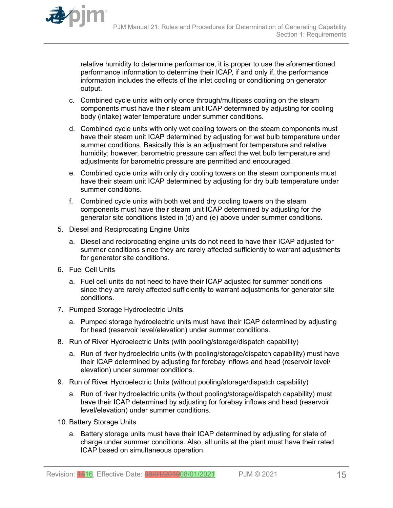

relative humidity to determine performance, it is proper to use the aforementioned performance information to determine their ICAP, if and only if, the performance information includes the effects of the inlet cooling or conditioning on generator output.

- c. Combined cycle units with only once through/multipass cooling on the steam components must have their steam unit ICAP determined by adjusting for cooling body (intake) water temperature under summer conditions.
- d. Combined cycle units with only wet cooling towers on the steam components must have their steam unit ICAP determined by adjusting for wet bulb temperature under summer conditions. Basically this is an adjustment for temperature and relative humidity; however, barometric pressure can affect the wet bulb temperature and adjustments for barometric pressure are permitted and encouraged.
- e. Combined cycle units with only dry cooling towers on the steam components must have their steam unit ICAP determined by adjusting for dry bulb temperature under summer conditions.
- f. Combined cycle units with both wet and dry cooling towers on the steam components must have their steam unit ICAP determined by adjusting for the generator site conditions listed in (d) and (e) above under summer conditions.
- 5. Diesel and Reciprocating Engine Units
	- a. Diesel and reciprocating engine units do not need to have their ICAP adjusted for summer conditions since they are rarely affected sufficiently to warrant adjustments for generator site conditions.
- 6. Fuel Cell Units
	- a. Fuel cell units do not need to have their ICAP adjusted for summer conditions since they are rarely affected sufficiently to warrant adjustments for generator site conditions.
- 7. Pumped Storage Hydroelectric Units
	- a. Pumped storage hydroelectric units must have their ICAP determined by adjusting for head (reservoir level/elevation) under summer conditions.
- 8. Run of River Hydroelectric Units (with pooling/storage/dispatch capability)
	- a. Run of river hydroelectric units (with pooling/storage/dispatch capability) must have their ICAP determined by adjusting for forebay inflows and head (reservoir level/ elevation) under summer conditions.
- 9. Run of River Hydroelectric Units (without pooling/storage/dispatch capability)
	- a. Run of river hydroelectric units (without pooling/storage/dispatch capability) must have their ICAP determined by adjusting for forebay inflows and head (reservoir level/elevation) under summer conditions.
- 10. Battery Storage Units
	- a. Battery storage units must have their ICAP determined by adjusting for state of charge under summer conditions. Also, all units at the plant must have their rated ICAP based on simultaneous operation.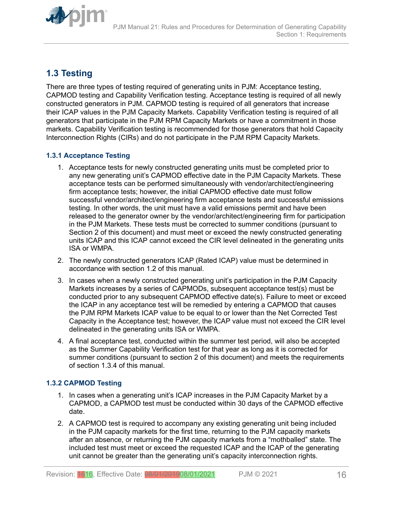<span id="page-15-0"></span>

# **1.3 Testing**

There are three types of testing required of generating units in PJM: Acceptance testing, CAPMOD testing and Capability Verification testing. Acceptance testing is required of all newly constructed generators in PJM. CAPMOD testing is required of all generators that increase their ICAP values in the PJM Capacity Markets. Capability Verification testing is required of all generators that participate in the PJM RPM Capacity Markets or have a commitment in those markets. Capability Verification testing is recommended for those generators that hold Capacity Interconnection Rights (CIRs) and do not participate in the PJM RPM Capacity Markets.

### **1.3.1 Acceptance Testing**

- 1. Acceptance tests for newly constructed generating units must be completed prior to any new generating unit's CAPMOD effective date in the PJM Capacity Markets. These acceptance tests can be performed simultaneously with vendor/architect/engineering firm acceptance tests; however, the initial CAPMOD effective date must follow successful vendor/architect/engineering firm acceptance tests and successful emissions testing. In other words, the unit must have a valid emissions permit and have been released to the generator owner by the vendor/architect/engineering firm for participation in the PJM Markets. These tests must be corrected to summer conditions (pursuant to Section 2 of this document) and must meet or exceed the newly constructed generating units ICAP and this ICAP cannot exceed the CIR level delineated in the generating units ISA or WMPA.
- 2. The newly constructed generators ICAP (Rated ICAP) value must be determined in accordance with section 1.2 of this manual.
- 3. In cases when a newly constructed generating unit's participation in the PJM Capacity Markets increases by a series of CAPMODs, subsequent acceptance test(s) must be conducted prior to any subsequent CAPMOD effective date(s). Failure to meet or exceed the ICAP in any acceptance test will be remedied by entering a CAPMOD that causes the PJM RPM Markets ICAP value to be equal to or lower than the Net Corrected Test Capacity in the Acceptance test; however, the ICAP value must not exceed the CIR level delineated in the generating units ISA or WMPA.
- 4. A final acceptance test, conducted within the summer test period, will also be accepted as the Summer Capability Verification test for that year as long as it is corrected for summer conditions (pursuant to section 2 of this document) and meets the requirements of section 1.3.4 of this manual.

### **1.3.2 CAPMOD Testing**

- 1. In cases when a generating unit's ICAP increases in the PJM Capacity Market by a CAPMOD, a CAPMOD test must be conducted within 30 days of the CAPMOD effective date.
- 2. A CAPMOD test is required to accompany any existing generating unit being included in the PJM capacity markets for the first time, returning to the PJM capacity markets after an absence, or returning the PJM capacity markets from a "mothballed" state. The included test must meet or exceed the requested ICAP and the ICAP of the generating unit cannot be greater than the generating unit's capacity interconnection rights.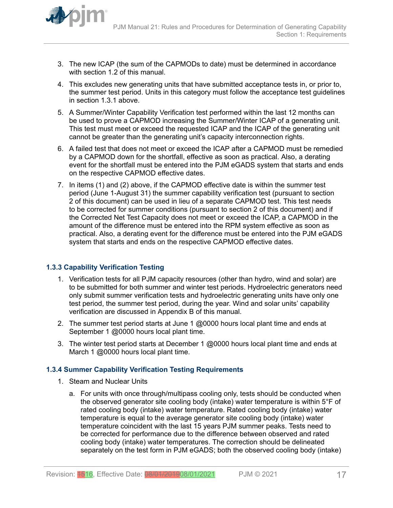<span id="page-16-0"></span>

- 3. The new ICAP (the sum of the CAPMODs to date) must be determined in accordance with section 1.2 of this manual.
- 4. This excludes new generating units that have submitted acceptance tests in, or prior to, the summer test period. Units in this category must follow the acceptance test guidelines in section 1.3.1 above.
- 5. A Summer/Winter Capability Verification test performed within the last 12 months can be used to prove a CAPMOD increasing the Summer/Winter ICAP of a generating unit. This test must meet or exceed the requested ICAP and the ICAP of the generating unit cannot be greater than the generating unit's capacity interconnection rights.
- 6. A failed test that does not meet or exceed the ICAP after a CAPMOD must be remedied by a CAPMOD down for the shortfall, effective as soon as practical. Also, a derating event for the shortfall must be entered into the PJM eGADS system that starts and ends on the respective CAPMOD effective dates.
- 7. In items (1) and (2) above, if the CAPMOD effective date is within the summer test period (June 1-August 31) the summer capability verification test (pursuant to section 2 of this document) can be used in lieu of a separate CAPMOD test. This test needs to be corrected for summer conditions (pursuant to section 2 of this document) and if the Corrected Net Test Capacity does not meet or exceed the ICAP, a CAPMOD in the amount of the difference must be entered into the RPM system effective as soon as practical. Also, a derating event for the difference must be entered into the PJM eGADS system that starts and ends on the respective CAPMOD effective dates.

### **1.3.3 Capability Verification Testing**

- 1. Verification tests for all PJM capacity resources (other than hydro, wind and solar) are to be submitted for both summer and winter test periods. Hydroelectric generators need only submit summer verification tests and hydroelectric generating units have only one test period, the summer test period, during the year. Wind and solar units' capability verification are discussed in Appendix B of this manual.
- 2. The summer test period starts at June 1 @0000 hours local plant time and ends at September 1 @0000 hours local plant time.
- 3. The winter test period starts at December 1  $@0000$  hours local plant time and ends at March 1 @0000 hours local plant time.

#### **1.3.4 Summer Capability Verification Testing Requirements**

- 1. Steam and Nuclear Units
	- a. For units with once through/multipass cooling only, tests should be conducted when the observed generator site cooling body (intake) water temperature is within 5°F of rated cooling body (intake) water temperature. Rated cooling body (intake) water temperature is equal to the average generator site cooling body (intake) water temperature coincident with the last 15 years PJM summer peaks. Tests need to be corrected for performance due to the difference between observed and rated cooling body (intake) water temperatures. The correction should be delineated separately on the test form in PJM eGADS; both the observed cooling body (intake)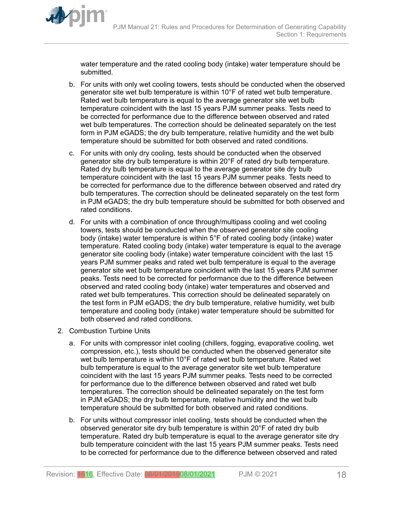

water temperature and the rated cooling body (intake) water temperature should be submitted.

- b. For units with only wet cooling towers, tests should be conducted when the observed generator site wet bulb temperature is within 10°F of rated wet bulb temperature. Rated wet bulb temperature is equal to the average generator site wet bulb temperature coincident with the last 15 years PJM summer peaks. Tests need to be corrected for performance due to the difference between observed and rated wet bulb temperatures. The correction should be delineated separately on the test form in PJM eGADS; the dry bulb temperature, relative humidity and the wet bulb temperature should be submitted for both observed and rated conditions.
- c. For units with only dry cooling, tests should be conducted when the observed generator site dry bulb temperature is within 20°F of rated dry bulb temperature. Rated dry bulb temperature is equal to the average generator site dry bulb temperature coincident with the last 15 years PJM summer peaks. Tests need to be corrected for performance due to the difference between observed and rated dry bulb temperatures. The correction should be delineated separately on the test form in PJM eGADS; the dry bulb temperature should be submitted for both observed and rated conditions.
- d. For units with a combination of once through/multipass cooling and wet cooling towers, tests should be conducted when the observed generator site cooling body (intake) water temperature is within 5°F of rated cooling body (intake) water temperature. Rated cooling body (intake) water temperature is equal to the average generator site cooling body (intake) water temperature coincident with the last 15 years PJM summer peaks and rated wet bulb temperature is equal to the average generator site wet bulb temperature coincident with the last 15 years PJM summer peaks. Tests need to be corrected for performance due to the difference between observed and rated cooling body (intake) water temperatures and observed and rated wet bulb temperatures. This correction should be delineated separately on the test form in PJM eGADS; the dry bulb temperature, relative humidity, wet bulb temperature and cooling body (intake) water temperature should be submitted for both observed and rated conditions.
- 2. Combustion Turbine Units
	- a. For units with compressor inlet cooling (chillers, fogging, evaporative cooling, wet compression, etc.), tests should be conducted when the observed generator site wet bulb temperature is within 10°F of rated wet bulb temperature. Rated wet bulb temperature is equal to the average generator site wet bulb temperature coincident with the last 15 years PJM summer peaks. Tests need to be corrected for performance due to the difference between observed and rated wet bulb temperatures. The correction should be delineated separately on the test form in PJM eGADS; the dry bulb temperature, relative humidity and the wet bulb temperature should be submitted for both observed and rated conditions.
	- b. For units without compressor inlet cooling, tests should be conducted when the observed generator site dry bulb temperature is within 20°F of rated dry bulb temperature. Rated dry bulb temperature is equal to the average generator site dry bulb temperature coincident with the last 15 years PJM summer peaks. Tests need to be corrected for performance due to the difference between observed and rated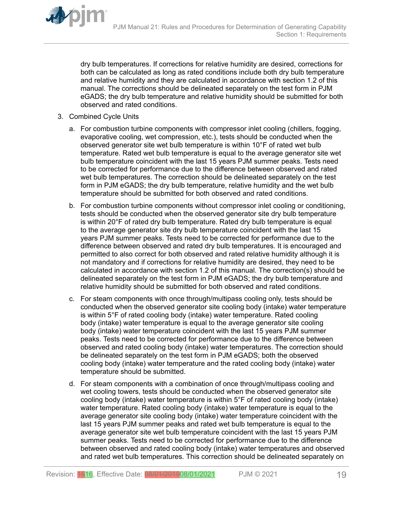

dry bulb temperatures. If corrections for relative humidity are desired, corrections for both can be calculated as long as rated conditions include both dry bulb temperature and relative humidity and they are calculated in accordance with section 1.2 of this manual. The corrections should be delineated separately on the test form in PJM eGADS; the dry bulb temperature and relative humidity should be submitted for both observed and rated conditions.

- 3. Combined Cycle Units
	- a. For combustion turbine components with compressor inlet cooling (chillers, fogging, evaporative cooling, wet compression, etc.), tests should be conducted when the observed generator site wet bulb temperature is within 10°F of rated wet bulb temperature. Rated wet bulb temperature is equal to the average generator site wet bulb temperature coincident with the last 15 years PJM summer peaks. Tests need to be corrected for performance due to the difference between observed and rated wet bulb temperatures. The correction should be delineated separately on the test form in PJM eGADS; the dry bulb temperature, relative humidity and the wet bulb temperature should be submitted for both observed and rated conditions.
	- b. For combustion turbine components without compressor inlet cooling or conditioning, tests should be conducted when the observed generator site dry bulb temperature is within 20°F of rated dry bulb temperature. Rated dry bulb temperature is equal to the average generator site dry bulb temperature coincident with the last 15 years PJM summer peaks. Tests need to be corrected for performance due to the difference between observed and rated dry bulb temperatures. It is encouraged and permitted to also correct for both observed and rated relative humidity although it is not mandatory and if corrections for relative humidity are desired, they need to be calculated in accordance with section 1.2 of this manual. The correction(s) should be delineated separately on the test form in PJM eGADS; the dry bulb temperature and relative humidity should be submitted for both observed and rated conditions.
	- c. For steam components with once through/multipass cooling only, tests should be conducted when the observed generator site cooling body (intake) water temperature is within 5°F of rated cooling body (intake) water temperature. Rated cooling body (intake) water temperature is equal to the average generator site cooling body (intake) water temperature coincident with the last 15 years PJM summer peaks. Tests need to be corrected for performance due to the difference between observed and rated cooling body (intake) water temperatures. The correction should be delineated separately on the test form in PJM eGADS; both the observed cooling body (intake) water temperature and the rated cooling body (intake) water temperature should be submitted.
	- d. For steam components with a combination of once through/multipass cooling and wet cooling towers, tests should be conducted when the observed generator site cooling body (intake) water temperature is within 5°F of rated cooling body (intake) water temperature. Rated cooling body (intake) water temperature is equal to the average generator site cooling body (intake) water temperature coincident with the last 15 years PJM summer peaks and rated wet bulb temperature is equal to the average generator site wet bulb temperature coincident with the last 15 years PJM summer peaks. Tests need to be corrected for performance due to the difference between observed and rated cooling body (intake) water temperatures and observed and rated wet bulb temperatures. This correction should be delineated separately on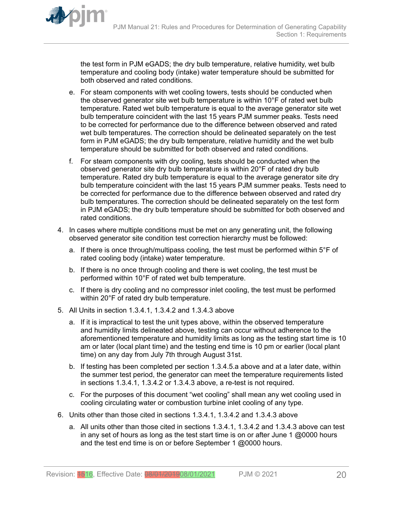the test form in PJM eGADS; the dry bulb temperature, relative humidity, wet bulb temperature and cooling body (intake) water temperature should be submitted for both observed and rated conditions.

- e. For steam components with wet cooling towers, tests should be conducted when the observed generator site wet bulb temperature is within 10°F of rated wet bulb temperature. Rated wet bulb temperature is equal to the average generator site wet bulb temperature coincident with the last 15 years PJM summer peaks. Tests need to be corrected for performance due to the difference between observed and rated wet bulb temperatures. The correction should be delineated separately on the test form in PJM eGADS; the dry bulb temperature, relative humidity and the wet bulb temperature should be submitted for both observed and rated conditions.
- f. For steam components with dry cooling, tests should be conducted when the observed generator site dry bulb temperature is within 20°F of rated dry bulb temperature. Rated dry bulb temperature is equal to the average generator site dry bulb temperature coincident with the last 15 years PJM summer peaks. Tests need to be corrected for performance due to the difference between observed and rated dry bulb temperatures. The correction should be delineated separately on the test form in PJM eGADS; the dry bulb temperature should be submitted for both observed and rated conditions.
- 4. In cases where multiple conditions must be met on any generating unit, the following observed generator site condition test correction hierarchy must be followed:
	- a. If there is once through/multipass cooling, the test must be performed within 5°F of rated cooling body (intake) water temperature.
	- b. If there is no once through cooling and there is wet cooling, the test must be performed within 10°F of rated wet bulb temperature.
	- c. If there is dry cooling and no compressor inlet cooling, the test must be performed within 20°F of rated dry bulb temperature.
- 5. All Units in section 1.3.4.1, 1.3.4.2 and 1.3.4.3 above
	- a. If it is impractical to test the unit types above, within the observed temperature and humidity limits delineated above, testing can occur without adherence to the aforementioned temperature and humidity limits as long as the testing start time is 10 am or later (local plant time) and the testing end time is 10 pm or earlier (local plant time) on any day from July 7th through August 31st.
	- b. If testing has been completed per section 1.3.4.5.a above and at a later date, within the summer test period, the generator can meet the temperature requirements listed in sections 1.3.4.1, 1.3.4.2 or 1.3.4.3 above, a re-test is not required.
	- c. For the purposes of this document "wet cooling" shall mean any wet cooling used in cooling circulating water or combustion turbine inlet cooling of any type.
- 6. Units other than those cited in sections 1.3.4.1, 1.3.4.2 and 1.3.4.3 above
	- a. All units other than those cited in sections 1.3.4.1, 1.3.4.2 and 1.3.4.3 above can test in any set of hours as long as the test start time is on or after June 1  $@0000$  hours and the test end time is on or before September 1 @0000 hours.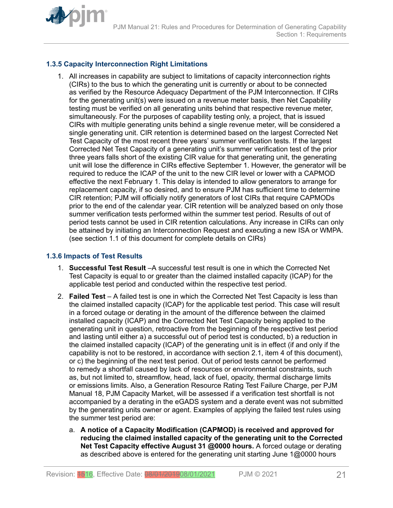<span id="page-20-0"></span>

### **1.3.5 Capacity Interconnection Right Limitations**

1. All increases in capability are subject to limitations of capacity interconnection rights (CIRs) to the bus to which the generating unit is currently or about to be connected as verified by the Resource Adequacy Department of the PJM Interconnection. If CIRs for the generating unit(s) were issued on a revenue meter basis, then Net Capability testing must be verified on all generating units behind that respective revenue meter, simultaneously. For the purposes of capability testing only, a project, that is issued CIRs with multiple generating units behind a single revenue meter, will be considered a single generating unit. CIR retention is determined based on the largest Corrected Net Test Capacity of the most recent three years' summer verification tests. If the largest Corrected Net Test Capacity of a generating unit's summer verification test of the prior three years falls short of the existing CIR value for that generating unit, the generating unit will lose the difference in CIRs effective September 1. However, the generator will be required to reduce the ICAP of the unit to the new CIR level or lower with a CAPMOD effective the next February 1. This delay is intended to allow generators to arrange for replacement capacity, if so desired, and to ensure PJM has sufficient time to determine CIR retention; PJM will officially notify generators of lost CIRs that require CAPMODs prior to the end of the calendar year. CIR retention will be analyzed based on only those summer verification tests performed within the summer test period. Results of out of period tests cannot be used in CIR retention calculations. Any increase in CIRs can only be attained by initiating an Interconnection Request and executing a new ISA or WMPA. (see section 1.1 of this document for complete details on CIRs)

### **1.3.6 Impacts of Test Results**

- 1. **Successful Test Result** –A successful test result is one in which the Corrected Net Test Capacity is equal to or greater than the claimed installed capacity (ICAP) for the applicable test period and conducted within the respective test period.
- 2. **Failed Test** A failed test is one in which the Corrected Net Test Capacity is less than the claimed installed capacity (ICAP) for the applicable test period. This case will result in a forced outage or derating in the amount of the difference between the claimed installed capacity (ICAP) and the Corrected Net Test Capacity being applied to the generating unit in question, retroactive from the beginning of the respective test period and lasting until either a) a successful out of period test is conducted, b) a reduction in the claimed installed capacity (ICAP) of the generating unit is in effect (if and only if the capability is not to be restored, in accordance with section 2.1, item 4 of this document), or c) the beginning of the next test period. Out of period tests cannot be performed to remedy a shortfall caused by lack of resources or environmental constraints, such as, but not limited to, streamflow, head, lack of fuel, opacity, thermal discharge limits or emissions limits. Also, a Generation Resource Rating Test Failure Charge, per PJM Manual 18, PJM Capacity Market, will be assessed if a verification test shortfall is not accompanied by a derating in the eGADS system and a derate event was not submitted by the generating units owner or agent. Examples of applying the failed test rules using the summer test period are:
	- a. **A notice of a Capacity Modification (CAPMOD) is received and approved for reducing the claimed installed capacity of the generating unit to the Corrected Net Test Capacity effective August 31 @0000 hours.** A forced outage or derating as described above is entered for the generating unit starting June 1@0000 hours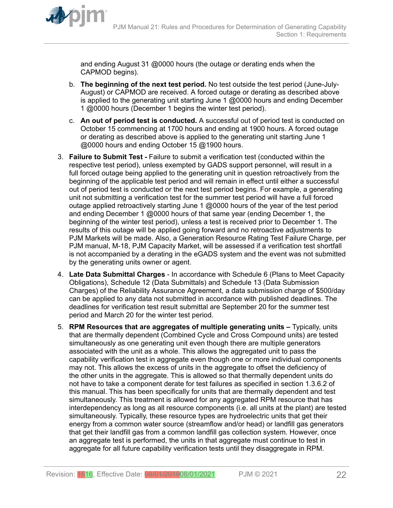

and ending August 31 @0000 hours (the outage or derating ends when the CAPMOD begins).

- b. **The beginning of the next test period.** No test outside the test period (June-July-August) or CAPMOD are received. A forced outage or derating as described above is applied to the generating unit starting June 1 @0000 hours and ending December 1 @0000 hours (December 1 begins the winter test period).
- c. **An out of period test is conducted.** A successful out of period test is conducted on October 15 commencing at 1700 hours and ending at 1900 hours. A forced outage or derating as described above is applied to the generating unit starting June 1 @0000 hours and ending October 15 @1900 hours.
- 3. **Failure to Submit Test** Failure to submit a verification test (conducted within the respective test period), unless exempted by GADS support personnel, will result in a full forced outage being applied to the generating unit in question retroactively from the beginning of the applicable test period and will remain in effect until either a successful out of period test is conducted or the next test period begins. For example, a generating unit not submitting a verification test for the summer test period will have a full forced outage applied retroactively starting June 1 @0000 hours of the year of the test period and ending December 1 @0000 hours of that same year (ending December 1, the beginning of the winter test period), unless a test is received prior to December 1. The results of this outage will be applied going forward and no retroactive adjustments to PJM Markets will be made. Also, a Generation Resource Rating Test Failure Charge, per PJM manual, M-18, PJM Capacity Market, will be assessed if a verification test shortfall is not accompanied by a derating in the eGADS system and the event was not submitted by the generating units owner or agent.
- 4. **Late Data Submittal Charges** In accordance with Schedule 6 (Plans to Meet Capacity Obligations), Schedule 12 (Data Submittals) and Schedule 13 (Data Submission Charges) of the Reliability Assurance Agreement, a data submission charge of \$500/day can be applied to any data not submitted in accordance with published deadlines. The deadlines for verification test result submittal are September 20 for the summer test period and March 20 for the winter test period.
- 5. **RPM Resources that are aggregates of multiple generating units** Typically, units that are thermally dependent (Combined Cycle and Cross Compound units) are tested simultaneously as one generating unit even though there are multiple generators associated with the unit as a whole. This allows the aggregated unit to pass the capability verification test in aggregate even though one or more individual components may not. This allows the excess of units in the aggregate to offset the deficiency of the other units in the aggregate. This is allowed so that thermally dependent units do not have to take a component derate for test failures as specified in section 1.3.6.2 of this manual. This has been specifically for units that are thermally dependent and test simultaneously. This treatment is allowed for any aggregated RPM resource that has interdependency as long as all resource components (i.e. all units at the plant) are tested simultaneously. Typically, these resource types are hydroelectric units that get their energy from a common water source (streamflow and/or head) or landfill gas generators that get their landfill gas from a common landfill gas collection system. However, once an aggregate test is performed, the units in that aggregate must continue to test in aggregate for all future capability verification tests until they disaggregate in RPM.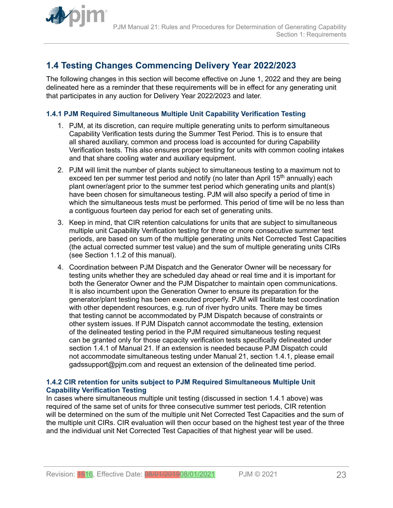<span id="page-22-0"></span>

# **1.4 Testing Changes Commencing Delivery Year 2022/2023**

The following changes in this section will become effective on June 1, 2022 and they are being delineated here as a reminder that these requirements will be in effect for any generating unit that participates in any auction for Delivery Year 2022/2023 and later.

### **1.4.1 PJM Required Simultaneous Multiple Unit Capability Verification Testing**

- 1. PJM, at its discretion, can require multiple generating units to perform simultaneous Capability Verification tests during the Summer Test Period. This is to ensure that all shared auxiliary, common and process load is accounted for during Capability Verification tests. This also ensures proper testing for units with common cooling intakes and that share cooling water and auxiliary equipment.
- 2. PJM will limit the number of plants subject to simultaneous testing to a maximum not to exceed ten per summer test period and notify (no later than April  $15<sup>th</sup>$  annually) each plant owner/agent prior to the summer test period which generating units and plant(s) have been chosen for simultaneous testing. PJM will also specify a period of time in which the simultaneous tests must be performed. This period of time will be no less than a contiguous fourteen day period for each set of generating units.
- 3. Keep in mind, that CIR retention calculations for units that are subject to simultaneous multiple unit Capability Verification testing for three or more consecutive summer test periods, are based on sum of the multiple generating units Net Corrected Test Capacities (the actual corrected summer test value) and the sum of multiple generating units CIRs (see Section 1.1.2 of this manual).
- 4. Coordination between PJM Dispatch and the Generator Owner will be necessary for testing units whether they are scheduled day ahead or real time and it is important for both the Generator Owner and the PJM Dispatcher to maintain open communications. It is also incumbent upon the Generation Owner to ensure its preparation for the generator/plant testing has been executed properly. PJM will facilitate test coordination with other dependent resources, e.g. run of river hydro units. There may be times that testing cannot be accommodated by PJM Dispatch because of constraints or other system issues. If PJM Dispatch cannot accommodate the testing, extension of the delineated testing period in the PJM required simultaneous testing request can be granted only for those capacity verification tests specifically delineated under section 1.4.1 of Manual 21. If an extension is needed because PJM Dispatch could not accommodate simultaneous testing under Manual 21, section 1.4.1, please email gadssupport@pjm.com and request an extension of the delineated time period.

#### **1.4.2 CIR retention for units subject to PJM Required Simultaneous Multiple Unit Capability Verification Testing**

In cases where simultaneous multiple unit testing (discussed in section 1.4.1 above) was required of the same set of units for three consecutive summer test periods, CIR retention will be determined on the sum of the multiple unit Net Corrected Test Capacities and the sum of the multiple unit CIRs. CIR evaluation will then occur based on the highest test year of the three and the individual unit Net Corrected Test Capacities of that highest year will be used.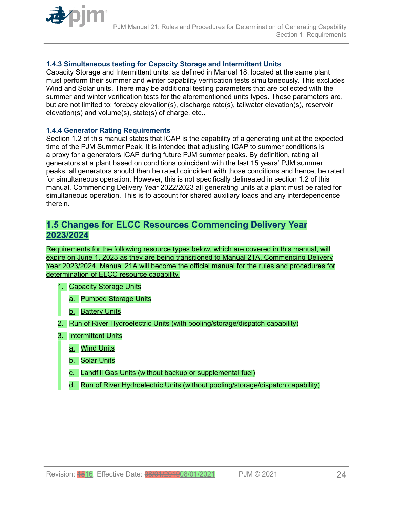<span id="page-23-0"></span>

### **1.4.3 Simultaneous testing for Capacity Storage and Intermittent Units**

Capacity Storage and Intermittent units, as defined in Manual 18, located at the same plant must perform their summer and winter capability verification tests simultaneously. This excludes Wind and Solar units. There may be additional testing parameters that are collected with the summer and winter verification tests for the aforementioned units types. These parameters are, but are not limited to: forebay elevation(s), discharge rate(s), tailwater elevation(s), reservoir elevation(s) and volume(s), state(s) of charge, etc..

#### **1.4.4 Generator Rating Requirements**

Section 1.2 of this manual states that ICAP is the capability of a generating unit at the expected time of the PJM Summer Peak. It is intended that adjusting ICAP to summer conditions is a proxy for a generators ICAP during future PJM summer peaks. By definition, rating all generators at a plant based on conditions coincident with the last 15 years' PJM summer peaks, all generators should then be rated coincident with those conditions and hence, be rated for simultaneous operation. However, this is not specifically delineated in section 1.2 of this manual. Commencing Delivery Year 2022/2023 all generating units at a plant must be rated for simultaneous operation. This is to account for shared auxiliary loads and any interdependence therein.

### **1.5 Changes for ELCC Resources Commencing Delivery Year 2023/2024**

Requirements for the following resource types below, which are covered in this manual, will expire on June 1, 2023 as they are being transitioned to Manual 21A. Commencing Delivery Year 2023/2024, Manual 21A will become the official manual for the rules and procedures for determination of ELCC resource capability.

- 1. Capacity Storage Units
	- a. Pumped Storage Units
	- b. Battery Units
- 2. Run of River Hydroelectric Units (with pooling/storage/dispatch capability)
- 3. Intermittent Units
	- a. Wind Units
	- b. Solar Units
	- c. Landfill Gas Units (without backup or supplemental fuel)
	- d. Run of River Hydroelectric Units (without pooling/storage/dispatch capability)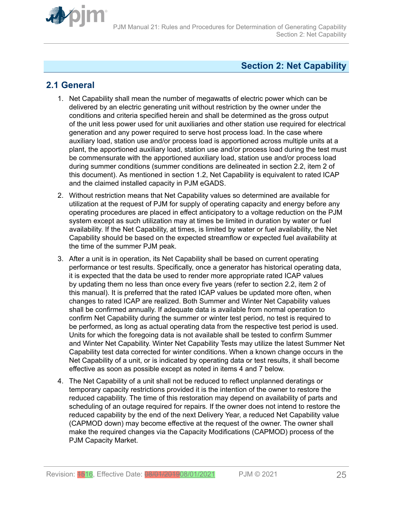<span id="page-24-0"></span>

# **Section 2: Net Capability**

# **2.1 General**

- 1. Net Capability shall mean the number of megawatts of electric power which can be delivered by an electric generating unit without restriction by the owner under the conditions and criteria specified herein and shall be determined as the gross output of the unit less power used for unit auxiliaries and other station use required for electrical generation and any power required to serve host process load. In the case where auxiliary load, station use and/or process load is apportioned across multiple units at a plant, the apportioned auxiliary load, station use and/or process load during the test must be commensurate with the apportioned auxiliary load, station use and/or process load during summer conditions (summer conditions are delineated in section 2.2, item 2 of this document). As mentioned in section 1.2, Net Capability is equivalent to rated ICAP and the claimed installed capacity in PJM eGADS.
- 2. Without restriction means that Net Capability values so determined are available for utilization at the request of PJM for supply of operating capacity and energy before any operating procedures are placed in effect anticipatory to a voltage reduction on the PJM system except as such utilization may at times be limited in duration by water or fuel availability. If the Net Capability, at times, is limited by water or fuel availability, the Net Capability should be based on the expected streamflow or expected fuel availability at the time of the summer PJM peak.
- 3. After a unit is in operation, its Net Capability shall be based on current operating performance or test results. Specifically, once a generator has historical operating data, it is expected that the data be used to render more appropriate rated ICAP values by updating them no less than once every five years (refer to section 2.2, item 2 of this manual). It is preferred that the rated ICAP values be updated more often, when changes to rated ICAP are realized. Both Summer and Winter Net Capability values shall be confirmed annually. If adequate data is available from normal operation to confirm Net Capability during the summer or winter test period, no test is required to be performed, as long as actual operating data from the respective test period is used. Units for which the foregoing data is not available shall be tested to confirm Summer and Winter Net Capability. Winter Net Capability Tests may utilize the latest Summer Net Capability test data corrected for winter conditions. When a known change occurs in the Net Capability of a unit, or is indicated by operating data or test results, it shall become effective as soon as possible except as noted in items 4 and 7 below.
- 4. The Net Capability of a unit shall not be reduced to reflect unplanned deratings or temporary capacity restrictions provided it is the intention of the owner to restore the reduced capability. The time of this restoration may depend on availability of parts and scheduling of an outage required for repairs. If the owner does not intend to restore the reduced capability by the end of the next Delivery Year, a reduced Net Capability value (CAPMOD down) may become effective at the request of the owner. The owner shall make the required changes via the Capacity Modifications (CAPMOD) process of the PJM Capacity Market.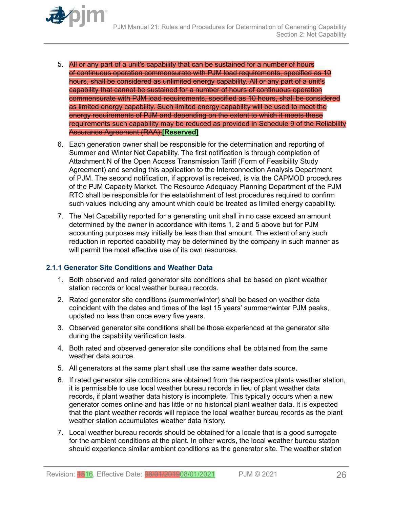- <span id="page-25-0"></span>5. All or any part of a unit's capability that can be sustained for a number of hours of continuous operation commensurate with PJM load requirements, specified as 10 hours, shall be considered as unlimited energy capability. All or any part of a unit's capability that cannot be sustained for a number of hours of continuous operation commensurate with PJM load requirements, specified as 10 hours, shall be considered as limited energy capability. Such limited energy capability will be used to meet the energy requirements of PJM and depending on the extent to which it meets these requirements such capability may be reduced as provided in Schedule 9 of the Reliability Assurance Agreement (RAA).**[Reserved]**
- 6. Each generation owner shall be responsible for the determination and reporting of Summer and Winter Net Capability. The first notification is through completion of Attachment N of the Open Access Transmission Tariff (Form of Feasibility Study Agreement) and sending this application to the Interconnection Analysis Department of PJM. The second notification, if approval is received, is via the CAPMOD procedures of the PJM Capacity Market. The Resource Adequacy Planning Department of the PJM RTO shall be responsible for the establishment of test procedures required to confirm such values including any amount which could be treated as limited energy capability.
- 7. The Net Capability reported for a generating unit shall in no case exceed an amount determined by the owner in accordance with items 1, 2 and 5 above but for PJM accounting purposes may initially be less than that amount. The extent of any such reduction in reported capability may be determined by the company in such manner as will permit the most effective use of its own resources.

### **2.1.1 Generator Site Conditions and Weather Data**

- 1. Both observed and rated generator site conditions shall be based on plant weather station records or local weather bureau records.
- 2. Rated generator site conditions (summer/winter) shall be based on weather data coincident with the dates and times of the last 15 years' summer/winter PJM peaks, updated no less than once every five years.
- 3. Observed generator site conditions shall be those experienced at the generator site during the capability verification tests.
- 4. Both rated and observed generator site conditions shall be obtained from the same weather data source.
- 5. All generators at the same plant shall use the same weather data source.
- 6. If rated generator site conditions are obtained from the respective plants weather station, it is permissible to use local weather bureau records in lieu of plant weather data records, if plant weather data history is incomplete. This typically occurs when a new generator comes online and has little or no historical plant weather data. It is expected that the plant weather records will replace the local weather bureau records as the plant weather station accumulates weather data history.
- 7. Local weather bureau records should be obtained for a locale that is a good surrogate for the ambient conditions at the plant. In other words, the local weather bureau station should experience similar ambient conditions as the generator site. The weather station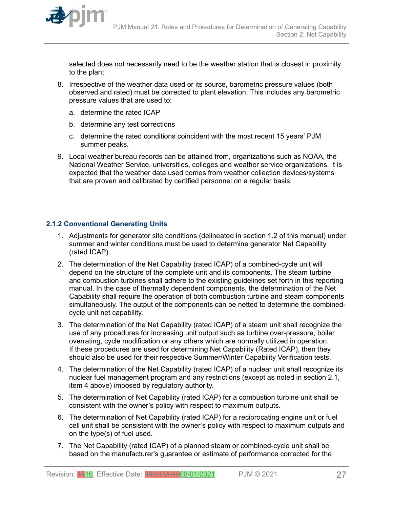<span id="page-26-0"></span>

selected does not necessarily need to be the weather station that is closest in proximity to the plant.

- 8. Irrespective of the weather data used or its source, barometric pressure values (both observed and rated) must be corrected to plant elevation. This includes any barometric pressure values that are used to:
	- a. determine the rated ICAP
	- b. determine any test corrections
	- c. determine the rated conditions coincident with the most recent 15 years' PJM summer peaks.
- 9. Local weather bureau records can be attained from, organizations such as NOAA, the National Weather Service, universities, colleges and weather service organizations. It is expected that the weather data used comes from weather collection devices/systems that are proven and calibrated by certified personnel on a regular basis.

### **2.1.2 Conventional Generating Units**

- 1. Adjustments for generator site conditions (delineated in section 1.2 of this manual) under summer and winter conditions must be used to determine generator Net Capability (rated ICAP).
- 2. The determination of the Net Capability (rated ICAP) of a combined-cycle unit will depend on the structure of the complete unit and its components. The steam turbine and combustion turbines shall adhere to the existing guidelines set forth in this reporting manual. In the case of thermally dependent components, the determination of the Net Capability shall require the operation of both combustion turbine and steam components simultaneously. The output of the components can be netted to determine the combinedcycle unit net capability.
- 3. The determination of the Net Capability (rated ICAP) of a steam unit shall recognize the use of any procedures for increasing unit output such as turbine over-pressure, boiler overrating, cycle modification or any others which are normally utilized in operation. If these procedures are used for determining Net Capability (Rated ICAP), then they should also be used for their respective Summer/Winter Capability Verification tests.
- 4. The determination of the Net Capability (rated ICAP) of a nuclear unit shall recognize its nuclear fuel management program and any restrictions (except as noted in section 2.1, item 4 above) imposed by regulatory authority.
- 5. The determination of Net Capability (rated ICAP) for a combustion turbine unit shall be consistent with the owner's policy with respect to maximum outputs.
- 6. The determination of Net Capability (rated ICAP) for a reciprocating engine unit or fuel cell unit shall be consistent with the owner's policy with respect to maximum outputs and on the type(s) of fuel used.
- 7. The Net Capability (rated ICAP) of a planned steam or combined-cycle unit shall be based on the manufacturer's guarantee or estimate of performance corrected for the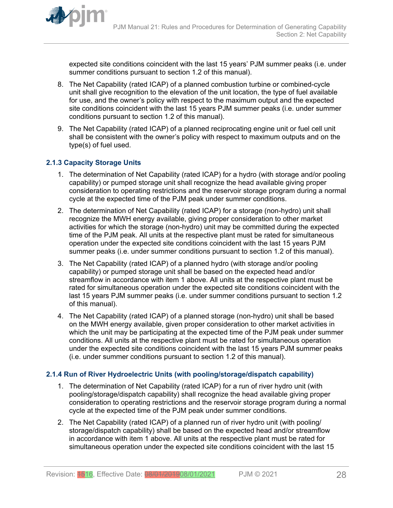

<span id="page-27-0"></span>expected site conditions coincident with the last 15 years' PJM summer peaks (i.e. under summer conditions pursuant to section 1.2 of this manual).

- 8. The Net Capability (rated ICAP) of a planned combustion turbine or combined-cycle unit shall give recognition to the elevation of the unit location, the type of fuel available for use, and the owner's policy with respect to the maximum output and the expected site conditions coincident with the last 15 years PJM summer peaks (i.e. under summer conditions pursuant to section 1.2 of this manual).
- 9. The Net Capability (rated ICAP) of a planned reciprocating engine unit or fuel cell unit shall be consistent with the owner's policy with respect to maximum outputs and on the type(s) of fuel used.

#### **2.1.3 Capacity Storage Units**

- 1. The determination of Net Capability (rated ICAP) for a hydro (with storage and/or pooling capability) or pumped storage unit shall recognize the head available giving proper consideration to operating restrictions and the reservoir storage program during a normal cycle at the expected time of the PJM peak under summer conditions.
- 2. The determination of Net Capability (rated ICAP) for a storage (non-hydro) unit shall recognize the MWH energy available, giving proper consideration to other market activities for which the storage (non-hydro) unit may be committed during the expected time of the PJM peak. All units at the respective plant must be rated for simultaneous operation under the expected site conditions coincident with the last 15 years PJM summer peaks (i.e. under summer conditions pursuant to section 1.2 of this manual).
- 3. The Net Capability (rated ICAP) of a planned hydro (with storage and/or pooling capability) or pumped storage unit shall be based on the expected head and/or streamflow in accordance with item 1 above. All units at the respective plant must be rated for simultaneous operation under the expected site conditions coincident with the last 15 years PJM summer peaks (i.e. under summer conditions pursuant to section 1.2 of this manual).
- 4. The Net Capability (rated ICAP) of a planned storage (non-hydro) unit shall be based on the MWH energy available, given proper consideration to other market activities in which the unit may be participating at the expected time of the PJM peak under summer conditions. All units at the respective plant must be rated for simultaneous operation under the expected site conditions coincident with the last 15 years PJM summer peaks (i.e. under summer conditions pursuant to section 1.2 of this manual).

#### **2.1.4 Run of River Hydroelectric Units (with pooling/storage/dispatch capability)**

- 1. The determination of Net Capability (rated ICAP) for a run of river hydro unit (with pooling/storage/dispatch capability) shall recognize the head available giving proper consideration to operating restrictions and the reservoir storage program during a normal cycle at the expected time of the PJM peak under summer conditions.
- 2. The Net Capability (rated ICAP) of a planned run of river hydro unit (with pooling/ storage/dispatch capability) shall be based on the expected head and/or streamflow in accordance with item 1 above. All units at the respective plant must be rated for simultaneous operation under the expected site conditions coincident with the last 15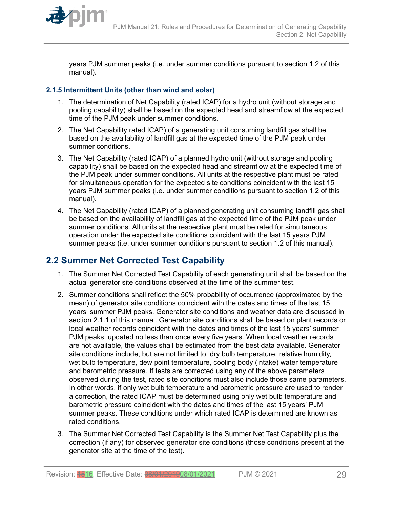<span id="page-28-0"></span>

years PJM summer peaks (i.e. under summer conditions pursuant to section 1.2 of this manual).

### **2.1.5 Intermittent Units (other than wind and solar)**

- 1. The determination of Net Capability (rated ICAP) for a hydro unit (without storage and pooling capability) shall be based on the expected head and streamflow at the expected time of the PJM peak under summer conditions.
- 2. The Net Capability rated ICAP) of a generating unit consuming landfill gas shall be based on the availability of landfill gas at the expected time of the PJM peak under summer conditions.
- 3. The Net Capability (rated ICAP) of a planned hydro unit (without storage and pooling capability) shall be based on the expected head and streamflow at the expected time of the PJM peak under summer conditions. All units at the respective plant must be rated for simultaneous operation for the expected site conditions coincident with the last 15 years PJM summer peaks (i.e. under summer conditions pursuant to section 1.2 of this manual).
- 4. The Net Capability (rated ICAP) of a planned generating unit consuming landfill gas shall be based on the availability of landfill gas at the expected time of the PJM peak under summer conditions. All units at the respective plant must be rated for simultaneous operation under the expected site conditions coincident with the last 15 years PJM summer peaks (i.e. under summer conditions pursuant to section 1.2 of this manual).

# **2.2 Summer Net Corrected Test Capability**

- 1. The Summer Net Corrected Test Capability of each generating unit shall be based on the actual generator site conditions observed at the time of the summer test.
- 2. Summer conditions shall reflect the 50% probability of occurrence (approximated by the mean) of generator site conditions coincident with the dates and times of the last 15 years' summer PJM peaks. Generator site conditions and weather data are discussed in section 2.1.1 of this manual. Generator site conditions shall be based on plant records or local weather records coincident with the dates and times of the last 15 years' summer PJM peaks, updated no less than once every five years. When local weather records are not available, the values shall be estimated from the best data available. Generator site conditions include, but are not limited to, dry bulb temperature, relative humidity, wet bulb temperature, dew point temperature, cooling body (intake) water temperature and barometric pressure. If tests are corrected using any of the above parameters observed during the test, rated site conditions must also include those same parameters. In other words, if only wet bulb temperature and barometric pressure are used to render a correction, the rated ICAP must be determined using only wet bulb temperature and barometric pressure coincident with the dates and times of the last 15 years' PJM summer peaks. These conditions under which rated ICAP is determined are known as rated conditions.
- 3. The Summer Net Corrected Test Capability is the Summer Net Test Capability plus the correction (if any) for observed generator site conditions (those conditions present at the generator site at the time of the test).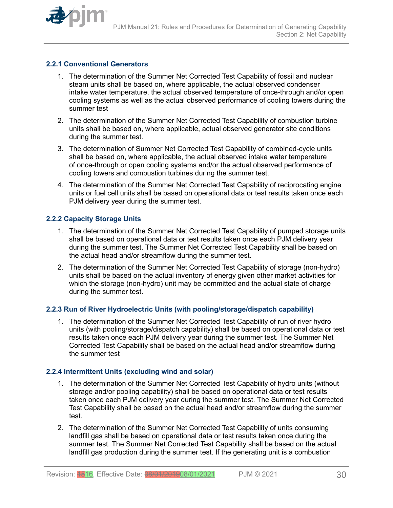<span id="page-29-0"></span>

#### **2.2.1 Conventional Generators**

- 1. The determination of the Summer Net Corrected Test Capability of fossil and nuclear steam units shall be based on, where applicable, the actual observed condenser intake water temperature, the actual observed temperature of once-through and/or open cooling systems as well as the actual observed performance of cooling towers during the summer test
- 2. The determination of the Summer Net Corrected Test Capability of combustion turbine units shall be based on, where applicable, actual observed generator site conditions during the summer test.
- 3. The determination of Summer Net Corrected Test Capability of combined-cycle units shall be based on, where applicable, the actual observed intake water temperature of once-through or open cooling systems and/or the actual observed performance of cooling towers and combustion turbines during the summer test.
- 4. The determination of the Summer Net Corrected Test Capability of reciprocating engine units or fuel cell units shall be based on operational data or test results taken once each PJM delivery year during the summer test.

#### **2.2.2 Capacity Storage Units**

- 1. The determination of the Summer Net Corrected Test Capability of pumped storage units shall be based on operational data or test results taken once each PJM delivery year during the summer test. The Summer Net Corrected Test Capability shall be based on the actual head and/or streamflow during the summer test.
- 2. The determination of the Summer Net Corrected Test Capability of storage (non-hydro) units shall be based on the actual inventory of energy given other market activities for which the storage (non-hydro) unit may be committed and the actual state of charge during the summer test.

#### **2.2.3 Run of River Hydroelectric Units (with pooling/storage/dispatch capability)**

1. The determination of the Summer Net Corrected Test Capability of run of river hydro units (with pooling/storage/dispatch capability) shall be based on operational data or test results taken once each PJM delivery year during the summer test. The Summer Net Corrected Test Capability shall be based on the actual head and/or streamflow during the summer test

#### **2.2.4 Intermittent Units (excluding wind and solar)**

- 1. The determination of the Summer Net Corrected Test Capability of hydro units (without storage and/or pooling capability) shall be based on operational data or test results taken once each PJM delivery year during the summer test. The Summer Net Corrected Test Capability shall be based on the actual head and/or streamflow during the summer test.
- 2. The determination of the Summer Net Corrected Test Capability of units consuming landfill gas shall be based on operational data or test results taken once during the summer test. The Summer Net Corrected Test Capability shall be based on the actual landfill gas production during the summer test. If the generating unit is a combustion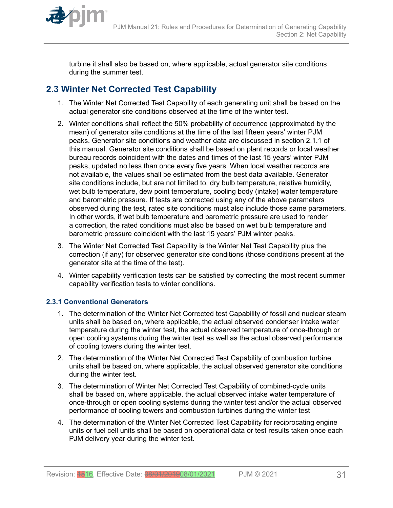<span id="page-30-0"></span>

turbine it shall also be based on, where applicable, actual generator site conditions during the summer test.

# **2.3 Winter Net Corrected Test Capability**

- 1. The Winter Net Corrected Test Capability of each generating unit shall be based on the actual generator site conditions observed at the time of the winter test.
- 2. Winter conditions shall reflect the 50% probability of occurrence (approximated by the mean) of generator site conditions at the time of the last fifteen years' winter PJM peaks. Generator site conditions and weather data are discussed in section 2.1.1 of this manual. Generator site conditions shall be based on plant records or local weather bureau records coincident with the dates and times of the last 15 years' winter PJM peaks, updated no less than once every five years. When local weather records are not available, the values shall be estimated from the best data available. Generator site conditions include, but are not limited to, dry bulb temperature, relative humidity, wet bulb temperature, dew point temperature, cooling body (intake) water temperature and barometric pressure. If tests are corrected using any of the above parameters observed during the test, rated site conditions must also include those same parameters. In other words, if wet bulb temperature and barometric pressure are used to render a correction, the rated conditions must also be based on wet bulb temperature and barometric pressure coincident with the last 15 years' PJM winter peaks.
- 3. The Winter Net Corrected Test Capability is the Winter Net Test Capability plus the correction (if any) for observed generator site conditions (those conditions present at the generator site at the time of the test).
- 4. Winter capability verification tests can be satisfied by correcting the most recent summer capability verification tests to winter conditions.

### **2.3.1 Conventional Generators**

- 1. The determination of the Winter Net Corrected test Capability of fossil and nuclear steam units shall be based on, where applicable, the actual observed condenser intake water temperature during the winter test, the actual observed temperature of once-through or open cooling systems during the winter test as well as the actual observed performance of cooling towers during the winter test.
- 2. The determination of the Winter Net Corrected Test Capability of combustion turbine units shall be based on, where applicable, the actual observed generator site conditions during the winter test.
- 3. The determination of Winter Net Corrected Test Capability of combined-cycle units shall be based on, where applicable, the actual observed intake water temperature of once-through or open cooling systems during the winter test and/or the actual observed performance of cooling towers and combustion turbines during the winter test
- 4. The determination of the Winter Net Corrected Test Capability for reciprocating engine units or fuel cell units shall be based on operational data or test results taken once each PJM delivery year during the winter test.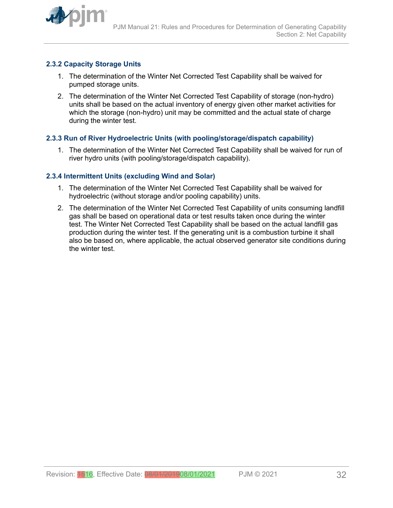<span id="page-31-0"></span>

### **2.3.2 Capacity Storage Units**

- 1. The determination of the Winter Net Corrected Test Capability shall be waived for pumped storage units.
- 2. The determination of the Winter Net Corrected Test Capability of storage (non-hydro) units shall be based on the actual inventory of energy given other market activities for which the storage (non-hydro) unit may be committed and the actual state of charge during the winter test.

#### **2.3.3 Run of River Hydroelectric Units (with pooling/storage/dispatch capability)**

1. The determination of the Winter Net Corrected Test Capability shall be waived for run of river hydro units (with pooling/storage/dispatch capability).

#### **2.3.4 Intermittent Units (excluding Wind and Solar)**

- 1. The determination of the Winter Net Corrected Test Capability shall be waived for hydroelectric (without storage and/or pooling capability) units.
- 2. The determination of the Winter Net Corrected Test Capability of units consuming landfill gas shall be based on operational data or test results taken once during the winter test. The Winter Net Corrected Test Capability shall be based on the actual landfill gas production during the winter test. If the generating unit is a combustion turbine it shall also be based on, where applicable, the actual observed generator site conditions during the winter test.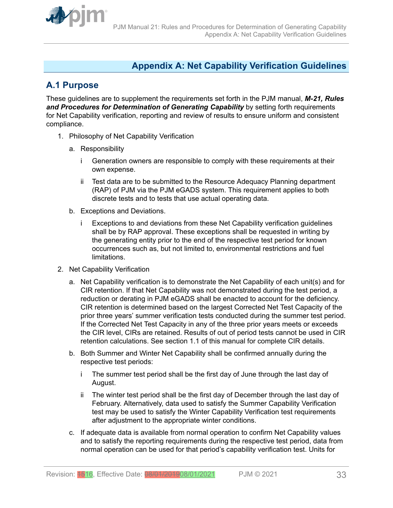<span id="page-32-0"></span>

# **Appendix A: Net Capability Verification Guidelines**

# **A.1 Purpose**

These guidelines are to supplement the requirements set forth in the PJM manual, *M-21, Rules* and Procedures for Determination of Generating Capability by setting forth requirements for Net Capability verification, reporting and review of results to ensure uniform and consistent compliance.

- 1. Philosophy of Net Capability Verification
	- a. Responsibility
		- i Generation owners are responsible to comply with these requirements at their own expense.
		- ii Test data are to be submitted to the Resource Adequacy Planning department (RAP) of PJM via the PJM eGADS system. This requirement applies to both discrete tests and to tests that use actual operating data.
	- b. Exceptions and Deviations.
		- i Exceptions to and deviations from these Net Capability verification guidelines shall be by RAP approval. These exceptions shall be requested in writing by the generating entity prior to the end of the respective test period for known occurrences such as, but not limited to, environmental restrictions and fuel limitations.
- 2. Net Capability Verification
	- a. Net Capability verification is to demonstrate the Net Capability of each unit(s) and for CIR retention. If that Net Capability was not demonstrated during the test period, a reduction or derating in PJM eGADS shall be enacted to account for the deficiency. CIR retention is determined based on the largest Corrected Net Test Capacity of the prior three years' summer verification tests conducted during the summer test period. If the Corrected Net Test Capacity in any of the three prior years meets or exceeds the CIR level, CIRs are retained. Results of out of period tests cannot be used in CIR retention calculations. See section 1.1 of this manual for complete CIR details.
	- b. Both Summer and Winter Net Capability shall be confirmed annually during the respective test periods:
		- i The summer test period shall be the first day of June through the last day of August.
		- ii The winter test period shall be the first day of December through the last day of February. Alternatively, data used to satisfy the Summer Capability Verification test may be used to satisfy the Winter Capability Verification test requirements after adjustment to the appropriate winter conditions.
	- c. If adequate data is available from normal operation to confirm Net Capability values and to satisfy the reporting requirements during the respective test period, data from normal operation can be used for that period's capability verification test. Units for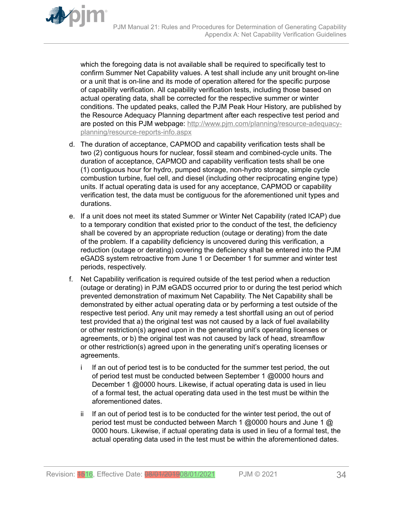which the foregoing data is not available shall be required to specifically test to confirm Summer Net Capability values. A test shall include any unit brought on-line or a unit that is on-line and its mode of operation altered for the specific purpose of capability verification. All capability verification tests, including those based on actual operating data, shall be corrected for the respective summer or winter conditions. The updated peaks, called the PJM Peak Hour History, are published by the Resource Adequacy Planning department after each respective test period and are posted on this PJM webpage: [http://www.pjm.com/planning/resource-adequacy](http://www.pjm.com/planning/resource-adequacy-planning/resource-reports-info.aspx)[planning/resource-reports-info.aspx](http://www.pjm.com/planning/resource-adequacy-planning/resource-reports-info.aspx)

- d. The duration of acceptance, CAPMOD and capability verification tests shall be two (2) contiguous hours for nuclear, fossil steam and combined-cycle units. The duration of acceptance, CAPMOD and capability verification tests shall be one (1) contiguous hour for hydro, pumped storage, non-hydro storage, simple cycle combustion turbine, fuel cell, and diesel (including other reciprocating engine type) units. If actual operating data is used for any acceptance, CAPMOD or capability verification test, the data must be contiguous for the aforementioned unit types and durations.
- e. If a unit does not meet its stated Summer or Winter Net Capability (rated ICAP) due to a temporary condition that existed prior to the conduct of the test, the deficiency shall be covered by an appropriate reduction (outage or derating) from the date of the problem. If a capability deficiency is uncovered during this verification, a reduction (outage or derating) covering the deficiency shall be entered into the PJM eGADS system retroactive from June 1 or December 1 for summer and winter test periods, respectively.
- f. Net Capability verification is required outside of the test period when a reduction (outage or derating) in PJM eGADS occurred prior to or during the test period which prevented demonstration of maximum Net Capability. The Net Capability shall be demonstrated by either actual operating data or by performing a test outside of the respective test period. Any unit may remedy a test shortfall using an out of period test provided that a) the original test was not caused by a lack of fuel availability or other restriction(s) agreed upon in the generating unit's operating licenses or agreements, or b) the original test was not caused by lack of head, streamflow or other restriction(s) agreed upon in the generating unit's operating licenses or agreements.
	- i If an out of period test is to be conducted for the summer test period, the out of period test must be conducted between September 1 @0000 hours and December 1 @0000 hours. Likewise, if actual operating data is used in lieu of a formal test, the actual operating data used in the test must be within the aforementioned dates.
	- ii If an out of period test is to be conducted for the winter test period, the out of period test must be conducted between March 1 @0000 hours and June 1 @ 0000 hours. Likewise, if actual operating data is used in lieu of a formal test, the actual operating data used in the test must be within the aforementioned dates.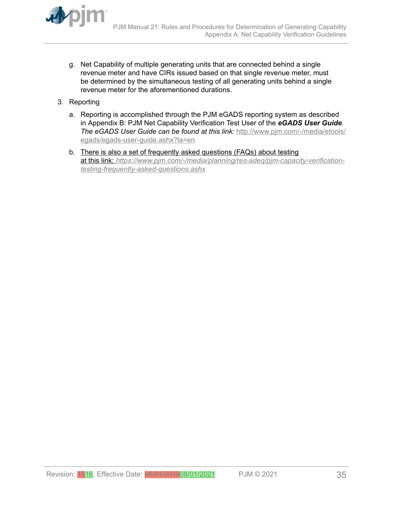

- g. Net Capability of multiple generating units that are connected behind a single revenue meter and have CIRs issued based on that single revenue meter, must be determined by the simultaneous testing of all generating units behind a single revenue meter for the aforementioned durations.
- 3. Reporting
	- a. Reporting is accomplished through the PJM eGADS reporting system as described in Appendix B: PJM Net Capability Verification Test User of the *eGADS User Guide. The eGADS User Guide can be found at this link:* [http://www.pjm.com/-/media/etools/](http://www.pjm.com/-/media/etools/egads/egads-user-guide.ashx?la=en) [egads/egads-user-guide.ashx?la=en](http://www.pjm.com/-/media/etools/egads/egads-user-guide.ashx?la=en)
	- b. There is also a set of frequently asked questions (FAQs) about testing at this link: *[https://www.pjm.com/-/media/planning/res-adeq/pjm-capacity-verification](https://www.pjm.com/-/media/planning/res-adeq/pjm-capacity-verification-testing-frequently-asked-questions.ashx)[testing-frequently-asked-questions.ashx](https://www.pjm.com/-/media/planning/res-adeq/pjm-capacity-verification-testing-frequently-asked-questions.ashx)*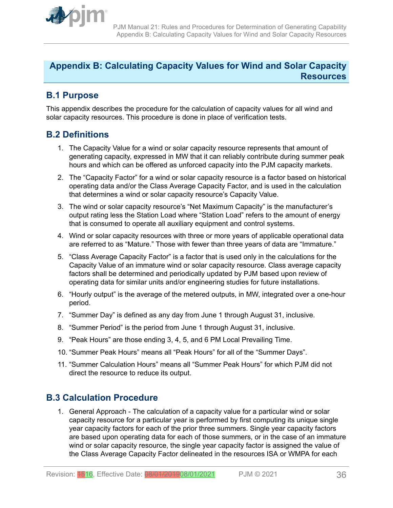<span id="page-35-0"></span>

# **Appendix B: Calculating Capacity Values for Wind and Solar Capacity Resources**

# **B.1 Purpose**

This appendix describes the procedure for the calculation of capacity values for all wind and solar capacity resources. This procedure is done in place of verification tests.

# **B.2 Definitions**

- 1. The Capacity Value for a wind or solar capacity resource represents that amount of generating capacity, expressed in MW that it can reliably contribute during summer peak hours and which can be offered as unforced capacity into the PJM capacity markets.
- 2. The "Capacity Factor" for a wind or solar capacity resource is a factor based on historical operating data and/or the Class Average Capacity Factor, and is used in the calculation that determines a wind or solar capacity resource's Capacity Value.
- 3. The wind or solar capacity resource's "Net Maximum Capacity" is the manufacturer's output rating less the Station Load where "Station Load" refers to the amount of energy that is consumed to operate all auxiliary equipment and control systems.
- 4. Wind or solar capacity resources with three or more years of applicable operational data are referred to as "Mature." Those with fewer than three years of data are "Immature."
- 5. "Class Average Capacity Factor" is a factor that is used only in the calculations for the Capacity Value of an immature wind or solar capacity resource. Class average capacity factors shall be determined and periodically updated by PJM based upon review of operating data for similar units and/or engineering studies for future installations.
- 6. "Hourly output" is the average of the metered outputs, in MW, integrated over a one-hour period.
- 7. "Summer Day" is defined as any day from June 1 through August 31, inclusive.
- 8. "Summer Period" is the period from June 1 through August 31, inclusive.
- 9. "Peak Hours" are those ending 3, 4, 5, and 6 PM Local Prevailing Time.
- 10. "Summer Peak Hours" means all "Peak Hours" for all of the "Summer Days".
- 11. "Summer Calculation Hours" means all "Summer Peak Hours" for which PJM did not direct the resource to reduce its output.

# **B.3 Calculation Procedure**

1. General Approach - The calculation of a capacity value for a particular wind or solar capacity resource for a particular year is performed by first computing its unique single year capacity factors for each of the prior three summers. Single year capacity factors are based upon operating data for each of those summers, or in the case of an immature wind or solar capacity resource, the single year capacity factor is assigned the value of the Class Average Capacity Factor delineated in the resources ISA or WMPA for each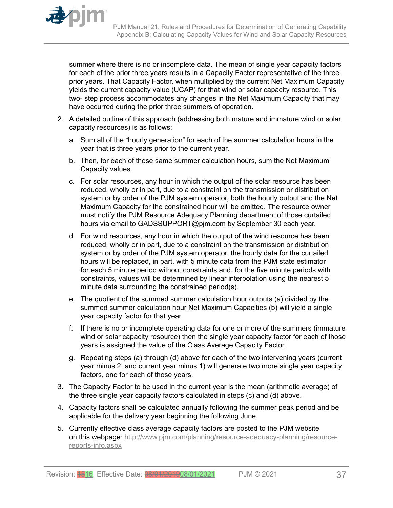

summer where there is no or incomplete data. The mean of single year capacity factors for each of the prior three years results in a Capacity Factor representative of the three prior years. That Capacity Factor, when multiplied by the current Net Maximum Capacity yields the current capacity value (UCAP) for that wind or solar capacity resource. This two- step process accommodates any changes in the Net Maximum Capacity that may have occurred during the prior three summers of operation.

- 2. A detailed outline of this approach (addressing both mature and immature wind or solar capacity resources) is as follows:
	- a. Sum all of the "hourly generation" for each of the summer calculation hours in the year that is three years prior to the current year.
	- b. Then, for each of those same summer calculation hours, sum the Net Maximum Capacity values.
	- c. For solar resources, any hour in which the output of the solar resource has been reduced, wholly or in part, due to a constraint on the transmission or distribution system or by order of the PJM system operator, both the hourly output and the Net Maximum Capacity for the constrained hour will be omitted. The resource owner must notify the PJM Resource Adequacy Planning department of those curtailed hours via email to GADSSUPPORT@pjm.com by September 30 each year.
	- d. For wind resources, any hour in which the output of the wind resource has been reduced, wholly or in part, due to a constraint on the transmission or distribution system or by order of the PJM system operator, the hourly data for the curtailed hours will be replaced, in part, with 5 minute data from the PJM state estimator for each 5 minute period without constraints and, for the five minute periods with constraints, values will be determined by linear interpolation using the nearest 5 minute data surrounding the constrained period(s).
	- e. The quotient of the summed summer calculation hour outputs (a) divided by the summed summer calculation hour Net Maximum Capacities (b) will yield a single year capacity factor for that year.
	- f. If there is no or incomplete operating data for one or more of the summers (immature wind or solar capacity resource) then the single year capacity factor for each of those years is assigned the value of the Class Average Capacity Factor.
	- g. Repeating steps (a) through (d) above for each of the two intervening years (current year minus 2, and current year minus 1) will generate two more single year capacity factors, one for each of those years.
- 3. The Capacity Factor to be used in the current year is the mean (arithmetic average) of the three single year capacity factors calculated in steps (c) and (d) above.
- 4. Capacity factors shall be calculated annually following the summer peak period and be applicable for the delivery year beginning the following June.
- 5. Currently effective class average capacity factors are posted to the PJM website on this webpage: [http://www.pjm.com/planning/resource-adequacy-planning/resource](http://www.pjm.com/planning/resource-adequacy-planning/resource-reports-info.aspx)[reports-info.aspx](http://www.pjm.com/planning/resource-adequacy-planning/resource-reports-info.aspx)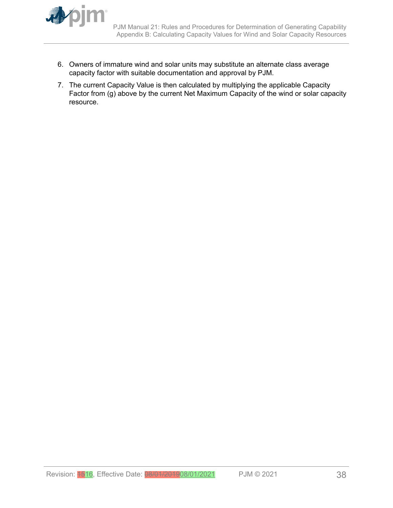

- 6. Owners of immature wind and solar units may substitute an alternate class average capacity factor with suitable documentation and approval by PJM.
- 7. The current Capacity Value is then calculated by multiplying the applicable Capacity Factor from (g) above by the current Net Maximum Capacity of the wind or solar capacity resource.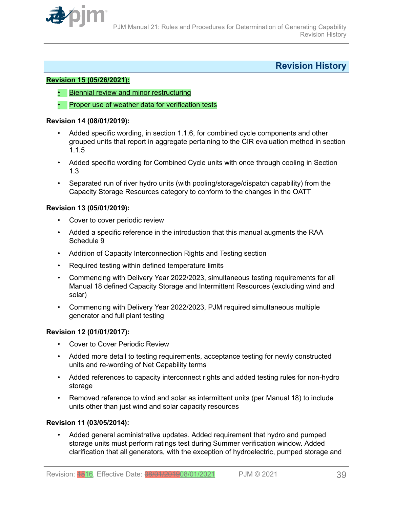<span id="page-38-0"></span>

# **Revision History**

#### **Revision 15 (05/26/2021):**

- Biennial review and minor restructuring
- Proper use of weather data for verification tests

#### **Revision 14 (08/01/2019):**

- Added specific wording, in section 1.1.6, for combined cycle components and other grouped units that report in aggregate pertaining to the CIR evaluation method in section 1.1.5
- Added specific wording for Combined Cycle units with once through cooling in Section 1.3
- Separated run of river hydro units (with pooling/storage/dispatch capability) from the Capacity Storage Resources category to conform to the changes in the OATT

#### **Revision 13 (05/01/2019):**

- Cover to cover periodic review
- Added a specific reference in the introduction that this manual augments the RAA Schedule 9
- Addition of Capacity Interconnection Rights and Testing section
- Required testing within defined temperature limits
- Commencing with Delivery Year 2022/2023, simultaneous testing requirements for all Manual 18 defined Capacity Storage and Intermittent Resources (excluding wind and solar)
- Commencing with Delivery Year 2022/2023, PJM required simultaneous multiple generator and full plant testing

### **Revision 12 (01/01/2017):**

- Cover to Cover Periodic Review
- Added more detail to testing requirements, acceptance testing for newly constructed units and re-wording of Net Capability terms
- Added references to capacity interconnect rights and added testing rules for non-hydro storage
- Removed reference to wind and solar as intermittent units (per Manual 18) to include units other than just wind and solar capacity resources

#### **Revision 11 (03/05/2014):**

• Added general administrative updates. Added requirement that hydro and pumped storage units must perform ratings test during Summer verification window. Added clarification that all generators, with the exception of hydroelectric, pumped storage and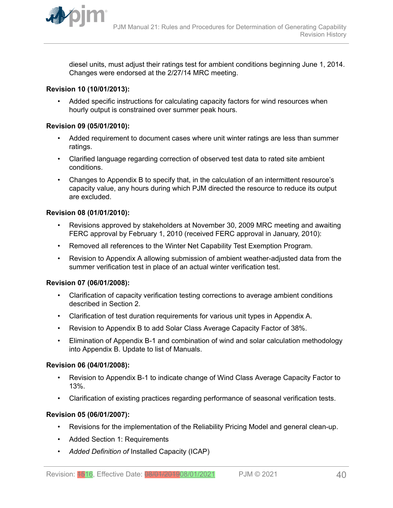

diesel units, must adjust their ratings test for ambient conditions beginning June 1, 2014. Changes were endorsed at the 2/27/14 MRC meeting.

#### **Revision 10 (10/01/2013):**

• Added specific instructions for calculating capacity factors for wind resources when hourly output is constrained over summer peak hours.

#### **Revision 09 (05/01/2010):**

- Added requirement to document cases where unit winter ratings are less than summer ratings.
- Clarified language regarding correction of observed test data to rated site ambient conditions.
- Changes to Appendix B to specify that, in the calculation of an intermittent resource's capacity value, any hours during which PJM directed the resource to reduce its output are excluded.

#### **Revision 08 (01/01/2010):**

- Revisions approved by stakeholders at November 30, 2009 MRC meeting and awaiting FERC approval by February 1, 2010 (received FERC approval in January, 2010):
- Removed all references to the Winter Net Capability Test Exemption Program.
- Revision to Appendix A allowing submission of ambient weather-adjusted data from the summer verification test in place of an actual winter verification test.

### **Revision 07 (06/01/2008):**

- Clarification of capacity verification testing corrections to average ambient conditions described in Section 2.
- Clarification of test duration requirements for various unit types in Appendix A.
- Revision to Appendix B to add Solar Class Average Capacity Factor of 38%.
- Elimination of Appendix B-1 and combination of wind and solar calculation methodology into Appendix B. Update to list of Manuals.

#### **Revision 06 (04/01/2008):**

- Revision to Appendix B-1 to indicate change of Wind Class Average Capacity Factor to 13%.
- Clarification of existing practices regarding performance of seasonal verification tests.

### **Revision 05 (06/01/2007):**

- Revisions for the implementation of the Reliability Pricing Model and general clean-up.
- Added Section 1: Requirements
- *Added Definition of* Installed Capacity (ICAP)